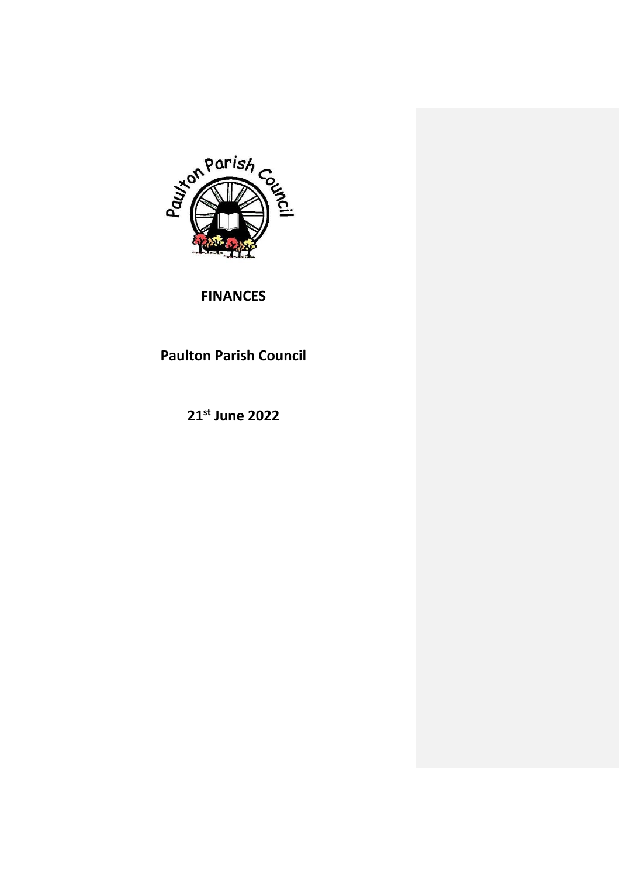

# **FINANCES**

# **Paulton Parish Council**

**21st June 2022**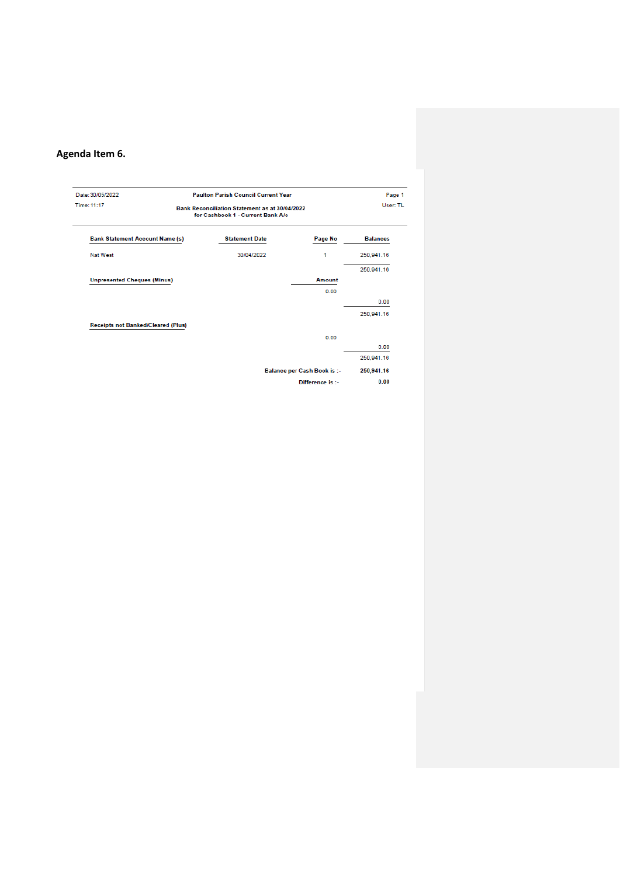# **Agenda Item 6.**

| Date: 30/05/2022<br>Time: 11:17           | <b>Paulton Parish Council Current Year</b><br><b>Bank Reconciliation Statement as at 30/04/2022</b><br>for Cashbook 1 - Current Bank A/c |                                    | Page 1<br>User: TL |
|-------------------------------------------|------------------------------------------------------------------------------------------------------------------------------------------|------------------------------------|--------------------|
| <b>Bank Statement Account Name (s)</b>    | <b>Statement Date</b>                                                                                                                    | Page No                            | <b>Balances</b>    |
| Nat West                                  | 30/04/2022                                                                                                                               | 1                                  | 250,941.16         |
|                                           |                                                                                                                                          |                                    | 250.941.16         |
| <b>Unpresented Cheques (Minus)</b>        |                                                                                                                                          | Amount                             |                    |
|                                           |                                                                                                                                          | 0.00                               |                    |
|                                           |                                                                                                                                          |                                    | 0.00               |
|                                           |                                                                                                                                          |                                    | 250.941.16         |
| <b>Receipts not Banked/Cleared (Plus)</b> |                                                                                                                                          |                                    |                    |
|                                           |                                                                                                                                          | 0.00                               |                    |
|                                           |                                                                                                                                          |                                    | 0.00               |
|                                           |                                                                                                                                          |                                    | 250.941.16         |
|                                           |                                                                                                                                          | <b>Balance per Cash Book is :-</b> | 250,941.16         |
|                                           |                                                                                                                                          | Difference is :-                   | 0.00               |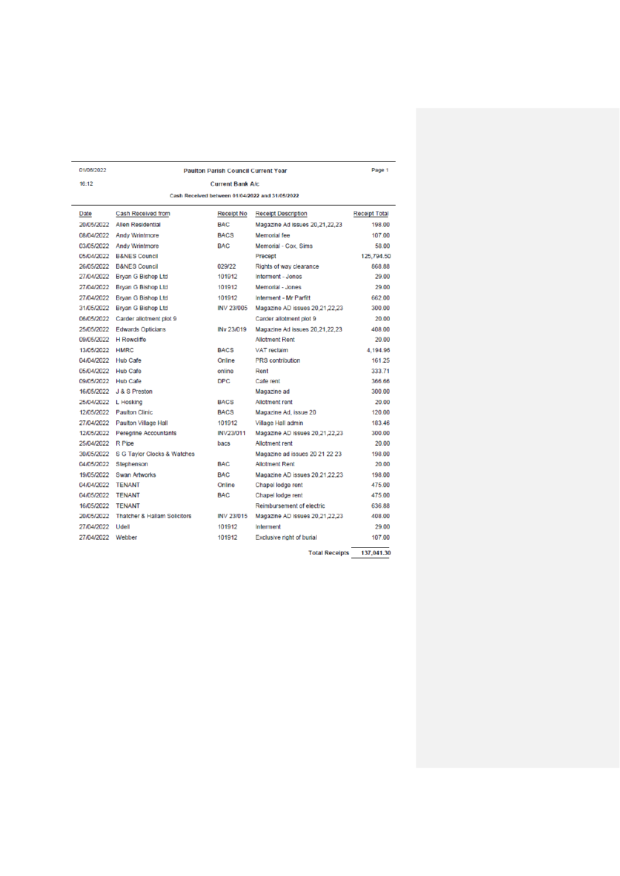| 01/06/2022             |                                         | <b>Paulton Parish Council Current Year</b> |                                                 | Page 1               |
|------------------------|-----------------------------------------|--------------------------------------------|-------------------------------------------------|----------------------|
| 16:12                  |                                         | <b>Current Bank A/c</b>                    |                                                 |                      |
|                        |                                         |                                            | Cash Received between 01/04/2022 and 31/05/2022 |                      |
| Date                   | Cash Received from                      | Receipt No                                 | <b>Receipt Description</b>                      | <b>Receipt Total</b> |
|                        | 20/05/2022 Allen Residential            | <b>BAC</b>                                 | Magazine Ad issues 20,21,22,23                  | 198.00               |
|                        | 08/04/2022 Andy Wrintmore               | <b>BACS</b>                                | Memorial fee                                    | 107.00               |
|                        | 03/05/2022 Andy Wrintmore               | <b>BAC</b>                                 | Memorial - Cox, Sims                            | 58.00                |
| 05/04/2022             | <b>B&amp;NES Council</b>                |                                            | Precept                                         | 125.794.50           |
|                        | 26/05/2022 B&NES Council                | 029/22                                     | Rights of way clearance                         | 868.88               |
|                        | 27/04/2022 Bryan G Bishop Ltd           | 101912                                     | Interment - Jones                               | 29.00                |
|                        | 27/04/2022 Bryan G Bishop Ltd           | 101912                                     | Memorial - Jones                                | 29.00                |
|                        | 27/04/2022 Bryan G Bishop Ltd           | 101912                                     | Interment - Mr Parfitt                          | 662.00               |
|                        | 31/05/2022 Bryan G Bishop Ltd           | <b>INV 23/005</b>                          | Magazine AD issues 20,21,22,23                  | 300.00               |
|                        | 06/05/2022 Carder allotment plot 9      |                                            | Carder allotment plot 9                         | 20.00                |
|                        | 25/05/2022 Edwards Opticians            | INv 23/019                                 | Magazine Ad issues 20.21.22.23                  | 408.00               |
| 09/05/2022 H Rowcliffe |                                         |                                            | <b>Allotment Rent</b>                           | 20.00                |
| 13/05/2022 HMRC        |                                         | <b>BACS</b>                                | <b>VAT</b> reclaim                              | 4.194.96             |
| 04/04/2022 Hub Cafe    |                                         | Online                                     | <b>PRS</b> contribution                         | 161.25               |
| 05/04/2022 Hub Cafe    |                                         | online                                     | Rent                                            | 333 71               |
| 09/05/2022 Hub Cafe    |                                         | DPC.                                       | Cafe rent                                       | 366.66               |
| 16/05/2022             | J & S Preston                           |                                            | Magazine ad                                     | 300.00               |
| 25/04/2022 L Hosking   |                                         | <b>BACS</b>                                | <b>Allotment rent</b>                           | 20.00                |
|                        | 12/05/2022 Paulton Clinic               | <b>BACS</b>                                | Magazine Ad, issue 20                           | 120.00               |
|                        | 27/04/2022 Paulton Village Hall         | 101912                                     | Village Hall admin                              | 183.46               |
|                        | 12/05/2022 Peregrine Accountants        | <b>INV23/011</b>                           | Magazine AD issues 20,21,22,23                  | 300.00               |
| 25/04/2022             | <b>R</b> Pipe                           | bacs                                       | <b>Allotment rent</b>                           | 20.00                |
| 30/05/2022             | S G Taylor Clocks & Watches             |                                            | Magazine ad issues 20 21 22 23                  | 198.00               |
| 04/05/2022             | Stephenson                              | <b>BAC</b>                                 | <b>Allotment Rent</b>                           | 20.00                |
| 19/05/2022             | <b>Swan Artworks</b>                    | <b>BAC</b>                                 | Magazine AD issues 20,21,22,23                  | 198.00               |
| 04/04/2022             | <b>TENANT</b>                           | Online                                     | Chapel lodge rent                               | 475.00               |
| 04/05/2022             | <b>TENANT</b>                           | <b>BAC</b>                                 | Chapel lodge rent                               | 475.00               |
| 16/05/2022             | <b>TENANT</b>                           |                                            | Reimbursement of electric                       | 636.88               |
| 20/05/2022             | <b>Thatcher &amp; Hallam Solicitors</b> | <b>INV 23/015</b>                          | Magazine AD issues 20,21,22,23                  | 408.00               |
| 27/04/2022             | Udell                                   | 101912                                     | Interment                                       | 29.00                |
| 27/04/2022 Webber      |                                         | 101912                                     | Exclusive right of burial                       | 107.00               |
|                        |                                         |                                            | <b>Total Receipts</b>                           | 137.041.30           |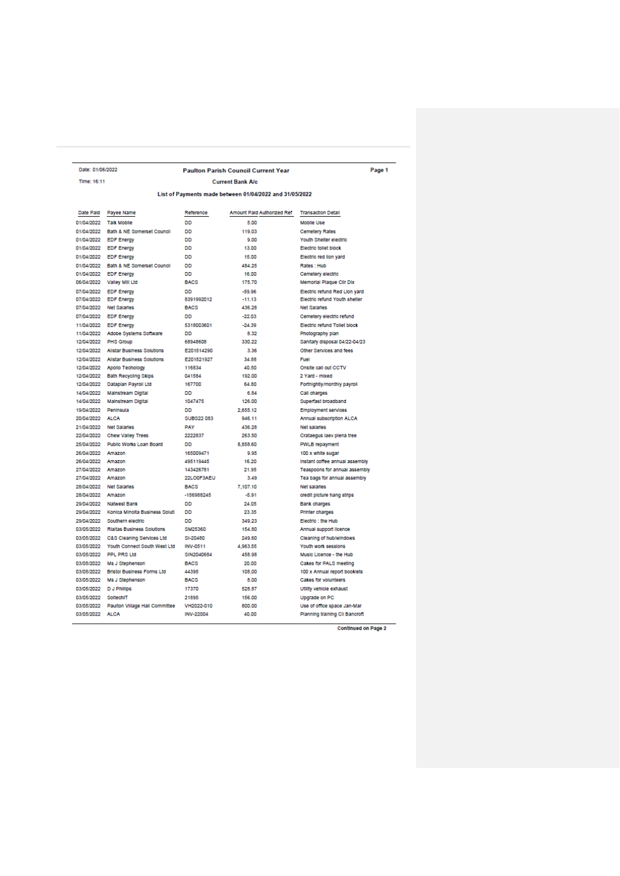| Date: 01/06/2022                                        |                                           |                   | <b>Paulton Parish Council Current Year</b> | Page 1                         |  |  |  |  |  |
|---------------------------------------------------------|-------------------------------------------|-------------------|--------------------------------------------|--------------------------------|--|--|--|--|--|
| Time: 16:11                                             |                                           |                   | <b>Current Bank A/c</b>                    |                                |  |  |  |  |  |
| List of Payments made between 01/04/2022 and 31/05/2022 |                                           |                   |                                            |                                |  |  |  |  |  |
| Date Pald                                               | Payee Name                                | Reference         | Amount Pald Authorized Ref                 | <b>Transaction Detail</b>      |  |  |  |  |  |
| 01/04/2022                                              | <b>Talk Mobile</b>                        | DD                | 5.00                                       | <b>Mobile Use</b>              |  |  |  |  |  |
| 01/04/2022                                              | Bath & NE Somerset Council                | <b>DD</b>         | 119.03                                     | <b>Cemetery Rates</b>          |  |  |  |  |  |
| 01/04/2022                                              | <b>EDF Energy</b>                         | <b>DD</b>         | 9.00                                       | Youth Shelter electric         |  |  |  |  |  |
| 01/04/2022                                              | <b>EDF Energy</b>                         | DD                | 13.00                                      | Electric tollet block          |  |  |  |  |  |
| 01/04/2022                                              | <b>EDF Energy</b>                         | <b>DD</b>         | 15.00                                      | Electric red lion yard         |  |  |  |  |  |
| 01/04/2022                                              | Bath & NE Somerset Council                | DD                | 484.25                                     | Rates: Hub                     |  |  |  |  |  |
|                                                         | 01/04/2022 EDF Energy                     | <b>DD</b>         | 16.00                                      | Cemetery electric              |  |  |  |  |  |
| 06/04/2022                                              | Valley Mill Ltd                           | <b>BACS</b>       | 175.70                                     | Memorial Plaque Clir Dix       |  |  |  |  |  |
|                                                         | 07/04/2022 EDF Energy                     | <b>DD</b>         | $-59.96$                                   | Electric refund Red Lion yard  |  |  |  |  |  |
| 07/04/2022                                              | <b>EDF Energy</b>                         | 8391992012        | $-11.13$                                   | Electric refund Youth shelter  |  |  |  |  |  |
| 07/04/2022                                              | Net Salaries                              | <b>BACS</b>       | 436.28                                     | Net Salaries                   |  |  |  |  |  |
|                                                         | 07/04/2022 EDF Energy                     | <b>DD</b>         | $-22.03$                                   | Cemetery electric refund       |  |  |  |  |  |
|                                                         | 11/04/2022 EDF Energy                     | 5318003601        | $-24.39$                                   | Electric refund Tollet block   |  |  |  |  |  |
|                                                         | 11/04/2022 Adobe Systems Software         | nn                | 8.32                                       | Photography plan               |  |  |  |  |  |
|                                                         | 12/04/2022 PHS Group                      | 68948608          | 330.22                                     | Sanitary disposal 04/22-04/23  |  |  |  |  |  |
|                                                         | 12/04/2022 Allstar Business Solutions     | E201514290        | 3.36                                       | Other Services and fees        |  |  |  |  |  |
|                                                         | 12/04/2022 Allstar Business Solutions     | E201521927        | 34.88                                      | Fuel                           |  |  |  |  |  |
|                                                         | 12/04/2022 Apollo Techology               | 116834            | 40.50                                      | Onsite call out CCTV           |  |  |  |  |  |
|                                                         | 12/04/2022 Bath Recycling Skips           | 041584            | 192.00                                     | 2 Yard - mixed                 |  |  |  |  |  |
|                                                         | 12/04/2022 Dataplan Payroll Ltd           | 167700            | 64.80                                      | Fortnightly/monthly payroll    |  |  |  |  |  |
|                                                         | 14/04/2022 Mainstream Digital             | <b>DD</b>         | 6.84                                       | Call charges                   |  |  |  |  |  |
| 14/04/2022                                              | Mainstream Digital                        | 1047475           | 126.00                                     | Superfast broadband            |  |  |  |  |  |
|                                                         | 19/04/2022 Peninsula                      | DD                | 2.655.12                                   | <b>Employment services</b>     |  |  |  |  |  |
| 20/04/2022 ALCA                                         |                                           | <b>SUBS22 083</b> | 946.11                                     | Annual subscription ALCA       |  |  |  |  |  |
|                                                         | 21/04/2022 Net Salaries                   | <b>PAY</b>        | 436.28                                     | Net salaries                   |  |  |  |  |  |
|                                                         | 22/04/2022 Chew Valley Trees              | 2222837           | 263.50                                     | Crataequs laev plena tree      |  |  |  |  |  |
|                                                         | 25/04/2022 Public Works Loan Board        | <b>DD</b>         | 8,858.60                                   |                                |  |  |  |  |  |
|                                                         |                                           |                   |                                            | PWLB repayment                 |  |  |  |  |  |
| 26/04/2022 Amazon                                       |                                           | 165009471         | 9.95                                       | 100 x white sugar              |  |  |  |  |  |
| 26/04/2022 Amazon                                       |                                           | 495119445         | 16.20                                      | Instant coffee annual assembly |  |  |  |  |  |
| 27/04/2022 Amazon                                       |                                           | 143426781         | 21.95                                      | Teaspoons for annual assembly  |  |  |  |  |  |
| 27/04/2022 Amazon                                       |                                           | 22LODF3AEU        | 3.49                                       | Tea bags for annual assembly   |  |  |  |  |  |
|                                                         | 28/04/2022 Net Salaries                   | <b>BACS</b>       | 7 107 10                                   | Net salaries                   |  |  |  |  |  |
| 28/04/2022 Amazon                                       |                                           | -156988245        | $-5.91$                                    | credit picture hang strips     |  |  |  |  |  |
|                                                         | 29/04/2022 Natwest Bank                   | <b>DD</b>         | 24.05                                      | <b>Bank charges</b>            |  |  |  |  |  |
|                                                         | 29/04/2022 Konica Minolta Business Soluti | <b>DD</b>         | 23.35                                      | Printer charges                |  |  |  |  |  |
| 29/04/2022                                              | Southern electric                         | nn                | 349.23                                     | Electric : the Hub             |  |  |  |  |  |
|                                                         | 03/05/2022 Rialtas Business Solutions     | SM25360           | 154.80                                     | Annual support licence         |  |  |  |  |  |
|                                                         | 03/05/2022 C&S Cleaning Services Ltd      | SI-20480          | 249.60                                     | Cleaning of hub/windows        |  |  |  |  |  |
| 03/05/2022                                              | Youth Connect South West Ltd              | <b>INV-0511</b>   | 4.963.55                                   | Youth work sessions            |  |  |  |  |  |
|                                                         | 03/05/2022 PPL PRS Ltd                    | SIN2040684        | 458.98                                     | Music Licence - the Hub        |  |  |  |  |  |
|                                                         | 03/05/2022 Ms J Stephenson                | <b>BACS</b>       | 20.00                                      | Cakes for PALS meeting         |  |  |  |  |  |
|                                                         | 03/05/2022 Bristol Business Forms Ltd     | 44395             | 108.00                                     | 100 x Annual report booklets   |  |  |  |  |  |
| 03/05/2022                                              | Ms J Stephenson                           | <b>BACS</b>       | 8.00                                       | <b>Cakes for volunteers</b>    |  |  |  |  |  |
|                                                         | 03/05/2022 DJ Phillips                    | 17370             | 528.87                                     | Utility vehicle exhaust        |  |  |  |  |  |
| 03/05/2022                                              | SoltechIT                                 | 21895             | 156.00                                     | Upgrade on PC                  |  |  |  |  |  |
| 03/05/2022                                              | Paulton Village Hall Committee            | VH2022-010        | 800.00                                     | Use of office space Jan-Mar    |  |  |  |  |  |
| 03/05/2022                                              | ALCA                                      | INV-22004         | 40.00                                      | Planning training Cli Bancroft |  |  |  |  |  |

Continued on Page 2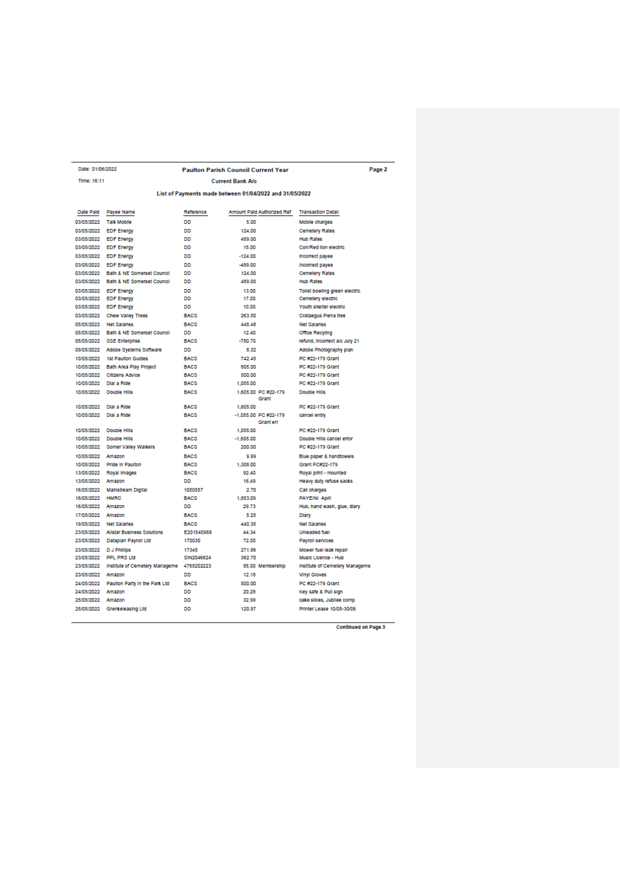|                   | Date: 01/06/2022                          |             | <b>Paulton Parish Council Current Year</b>              |                                | Page 2 |
|-------------------|-------------------------------------------|-------------|---------------------------------------------------------|--------------------------------|--------|
| Time: 16:11       |                                           |             | <b>Current Bank A/c.</b>                                |                                |        |
|                   |                                           |             | List of Payments made between 01/04/2022 and 31/05/2022 |                                |        |
| Date Paid         | Payee Name                                | Reference   | Amount Pald Authorized Ref                              | <b>Transaction Detail</b>      |        |
| 03/05/2022        | <b>Talk Mobile</b>                        | nn          | 5.00                                                    | Mobile charges                 |        |
| 03/05/2022        | <b>EDF Energy</b>                         | DD          | 124.00                                                  | <b>Cemetery Rates</b>          |        |
| 03/05/2022        | <b>EDF</b> Energy                         | DD          | 489.00                                                  | <b>Hub Rates</b>               |        |
|                   | 03/05/2022 EDF Energy                     | nn          | 15.00                                                   | Con/Red lion electric          |        |
|                   | 03/05/2022 EDF Energy                     | nn          | $-124.00$                                               | Incorrect payee                |        |
|                   | 03/05/2022 EDF Energy                     | nn          | $-489.00$                                               | Incorrect payee                |        |
|                   | 03/05/2022 Bath & NE Somerset Council     | nn          | 124.00                                                  | <b>Cemetery Rates</b>          |        |
|                   | 03/05/2022 Bath & NE Somerset Council     | DD          | 489.00                                                  | <b>Hub Rates</b>               |        |
|                   | 03/05/2022 EDF Energy                     | nn          | 13.00                                                   | Tollet bowling green electric  |        |
|                   | 03/05/2022 EDF Energy                     | nn          | 17.00                                                   | Cemetery electric              |        |
|                   | 03/05/2022 EDF Energy                     | DD          | 10,00                                                   | Youth shelter electric         |        |
|                   | 03/05/2022 Chew Valley Trees              | <b>BACS</b> | 263.50                                                  | Crataegus Plena tree           |        |
|                   | 05/05/2022 Net Salaries                   | <b>BACS</b> | 448.48                                                  | Net Salaries                   |        |
|                   | 05/05/2022 Bath & NE Somerset Council     | nn          | 12.40                                                   | Office Recyling                |        |
|                   | 05/05/2022 SSE Enterprise                 | <b>BACS</b> | $-750.70$                                               | refund, incorrect a/c July 21  |        |
|                   | 09/05/2022 Adobe Systems Software         | <b>DD</b>   | 8.32                                                    | Adobe Photography plan         |        |
|                   | 10/05/2022 1st Paulton Guides             | <b>BACS</b> | 742.45                                                  | PC #22-179 Grant               |        |
|                   | 10/05/2022 Bath Area Play Project         | <b>BACS</b> | 805.00                                                  | PC #22-179 Grant               |        |
|                   | 10/05/2022 Citizens Advice                | <b>BACS</b> | 500.00                                                  | PC #22-179 Grant               |        |
|                   | 10/05/2022 Dial a Ride                    | <b>BACS</b> | 1,055.00                                                | PC #22-179 Grant               |        |
|                   | 10/05/2022 Double Hills                   | <b>BACS</b> | 1.605.00 PC #22-179<br>Grant                            | Double Hills                   |        |
| 10/05/2022        | Dial a Ride                               | <b>BACS</b> | 1.605.00                                                | PC #22-179 Grant               |        |
| 10/05/2022        | Dial a Ride                               | <b>BACS</b> | -1,055.00 PC #22-179<br><b>Grant</b> err                | cancel entry                   |        |
| 10/05/2022        | Double Hills                              | <b>BACS</b> | 1.055.00                                                | PC #22-179 Grant               |        |
|                   | 10/05/2022 Double Hills                   | <b>BACS</b> | $-1,605.00$                                             | Double Hills cancel error      |        |
|                   | 10/05/2022 Somer Valley Walkers           | <b>BACS</b> | 200.00                                                  | PC #22-179 Grant               |        |
| 10/05/2022 Amazon |                                           | <b>BACS</b> | 9.99                                                    | Blue paper & handtowels        |        |
|                   | 10/05/2022 Pride in Paulton               | <b>BACS</b> | 1.308.00                                                | Grant PC#22-179                |        |
|                   | 13/05/2022 Royal Images                   | <b>BACS</b> | 92.40                                                   | Royal print - mounted          |        |
| 13/05/2022 Amazon |                                           | <b>DD</b>   | 16.49                                                   | Heavy duty refuse sacks        |        |
|                   | 16/05/2022 Mainstream Digital             | 1050557     | 2.70                                                    | Call charges                   |        |
| 16/05/2022 HMRC   |                                           | <b>BACS</b> | 1.853.09                                                | PAYE/NI April                  |        |
| 16/05/2022        | Amazon                                    | DD          | 29.73                                                   | Hub, hand wash, glue, dlary    |        |
| 17/05/2022 Amazon |                                           | <b>BACS</b> | 5.25                                                    | Diary                          |        |
|                   | 19/05/2022 Net Salaries                   | <b>BACS</b> | 440.35                                                  | Net Salaries                   |        |
|                   | 23/05/2022 Allstar Business Solutions     | E201540968  | 44.34                                                   | Unleaded fuel                  |        |
|                   | 23/05/2022 Dataplan Pavroll Ltd           | 170030      | 72.00                                                   | Pavroll services               |        |
|                   | 23/05/2022 D J Phillips                   | 17345       | 271.86                                                  | Mower fuel leak repair         |        |
|                   | 23/05/2022 PPL PRS Ltd                    | SIN2046624  | 362.70                                                  | Music Licence - Hub            |        |
|                   | 23/05/2022 Institute of Cemetery Manageme | 4765202223  | 95.00 Membership                                        | Institute of Cemetery Manageme |        |
| 23/05/2022 Amazon |                                           | DD          | 12.18                                                   | <b>Vinyl Gloves</b>            |        |
|                   | 24/05/2022 Paulton Party In the Park Ltd  | <b>BACS</b> | 500.00                                                  | PC #22-179 Grant               |        |
| 24/05/2022 Amazon |                                           | DD          | 20.28                                                   | Key safe & Pull sign           |        |
| 25/05/2022 Amazon |                                           | nn          | 32.99                                                   | cake slices, Jubliee comp      |        |
|                   | 25/05/2022 Grenkeleasing Ltd              | DD          | 120.97                                                  | Printer Lease 10/05-30/06      |        |

Continued on Page 3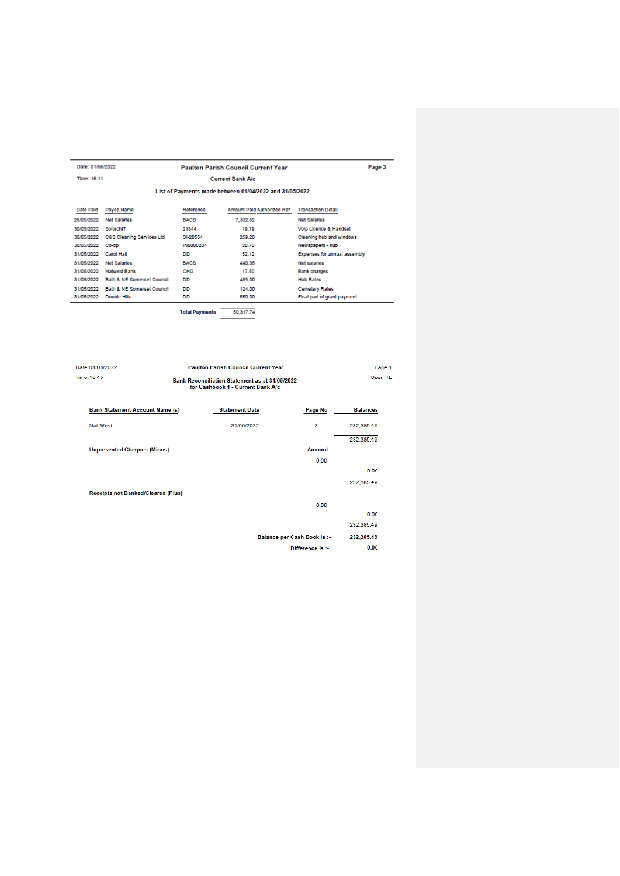| Date: 01/06/2022 |                            |                       | <b>Paulton Parish Council Current Year</b>              |                              | Page 3 |
|------------------|----------------------------|-----------------------|---------------------------------------------------------|------------------------------|--------|
| Time: 16:11      |                            |                       | <b>Current Bank Alc.</b>                                |                              |        |
|                  |                            |                       | List of Payments made between 01/04/2022 and 31/05/2022 |                              |        |
| Date Paid        | Payee Name                 | Reference             | Amount Paid Authorized Ref.                             | <b>Transaction Detail</b>    |        |
| 26/05/2022       | Net Salaries               | <b>BACS</b>           | 7,332.82                                                | Net Salaries                 |        |
| 30/05/2022       | SoltechIT                  | 21844                 | 19.79                                                   | Volp Licence & Handset       |        |
| 30/05/2022       | C&S Cleaning Services Ltd  | SI-20554              | 259.20                                                  | Cleaning hub and windows     |        |
| 30/05/2022       | Co-op                      | <b>IN0000204</b>      | 20.70                                                   | Newspapers - hub             |        |
| 31/05/2022       | <b>Carol Hall</b>          | <b>DD</b>             | 52.12                                                   | Expenses for annual assembly |        |
| 31/05/2022       | <b>Net Salaries</b>        | <b>BACS</b>           | 440.35                                                  | Net salaries                 |        |
| 31/05/2022       | <b>Natwest Bank</b>        | CHG                   | 17.50                                                   | <b>Bank charges</b>          |        |
| 31/05/2022       | Bath & NE Somerset Council | DD                    | 489.00                                                  | <b>Hub Rates</b>             |        |
| 31/05/2022       | Bath & NE Somerset Council | <b>DD</b>             | 124.00                                                  | <b>Cemetery Rates</b>        |        |
| 31/05/2022       | Double Hills               | DD                    | 550.00                                                  | Final part of grant payment  |        |
|                  |                            | <b>Total Payments</b> | 50,317.74                                               |                              |        |

| Date: 01/06/2022<br>Time: 15:45           | <b>Paulton Parish Council Current Year</b><br><b>Bank Reconciliation Statement as at 31/05/2022</b><br>for Cashbook 1 - Current Bank A/c |                                    |                 |  |  |
|-------------------------------------------|------------------------------------------------------------------------------------------------------------------------------------------|------------------------------------|-----------------|--|--|
| <b>Bank Statement Account Name (s)</b>    | <b>Statement Date</b>                                                                                                                    | Page No                            | <b>Balances</b> |  |  |
| Nat West                                  | 31/05/2022                                                                                                                               | 2                                  | 232.385.49      |  |  |
|                                           |                                                                                                                                          |                                    | 232.385.49      |  |  |
| <b>Unpresented Cheques (Minus)</b>        |                                                                                                                                          | Amount                             |                 |  |  |
|                                           |                                                                                                                                          | 0.00                               |                 |  |  |
|                                           |                                                                                                                                          |                                    | 0.00            |  |  |
|                                           |                                                                                                                                          |                                    | 232.385.49      |  |  |
| <b>Receipts not Banked/Cleared (Plus)</b> |                                                                                                                                          |                                    |                 |  |  |
|                                           |                                                                                                                                          | 0.00                               |                 |  |  |
|                                           |                                                                                                                                          |                                    | 0.00            |  |  |
|                                           |                                                                                                                                          |                                    | 232.385.49      |  |  |
|                                           |                                                                                                                                          | <b>Balance per Cash Book is :-</b> | 232,385.49      |  |  |
|                                           |                                                                                                                                          | Difference is :-                   | 0.00            |  |  |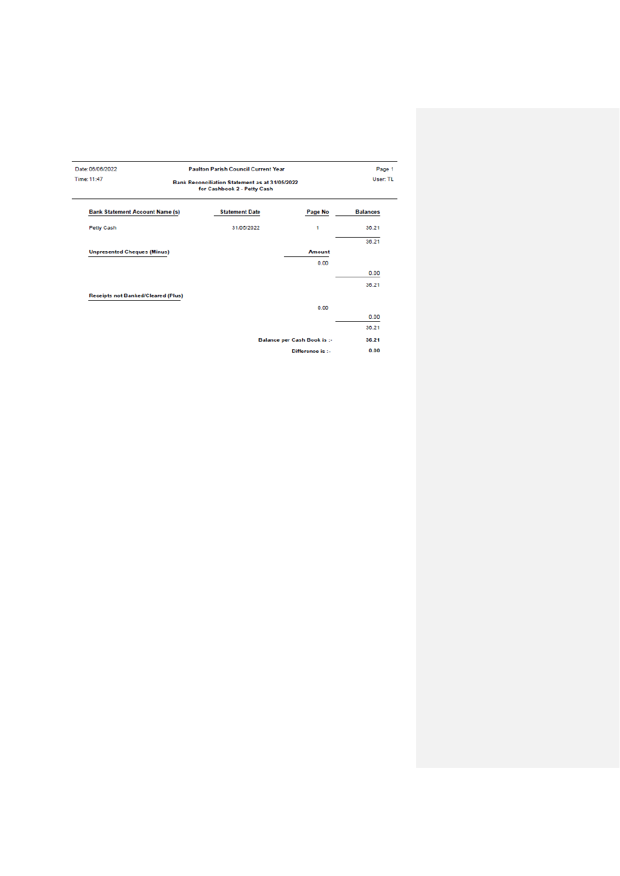| Date: 06/06/2022<br>Time: 11:47           | <b>Paulton Parish Council Current Year</b><br><b>Bank Reconciliation Statement as at 31/05/2022</b><br>for Cashbook 2 - Petty Cash |                                    |                 |  |
|-------------------------------------------|------------------------------------------------------------------------------------------------------------------------------------|------------------------------------|-----------------|--|
| <b>Bank Statement Account Name (s)</b>    | <b>Statement Date</b>                                                                                                              | Page No                            | <b>Balances</b> |  |
| Petty Cash                                | 31/05/2022                                                                                                                         | 1                                  | 36.21           |  |
|                                           |                                                                                                                                    |                                    | 36.21           |  |
| <b>Unpresented Cheques (Minus)</b>        |                                                                                                                                    | <b>Amount</b>                      |                 |  |
|                                           |                                                                                                                                    | 0.00                               |                 |  |
|                                           |                                                                                                                                    |                                    | 0.00            |  |
|                                           |                                                                                                                                    |                                    | 36.21           |  |
| <b>Receipts not Banked/Cleared (Plus)</b> |                                                                                                                                    |                                    |                 |  |
|                                           |                                                                                                                                    | 0.00                               |                 |  |
|                                           |                                                                                                                                    |                                    | 0.00            |  |
|                                           |                                                                                                                                    |                                    | 36.21           |  |
|                                           |                                                                                                                                    | <b>Balance per Cash Book is :-</b> | 36.21           |  |
|                                           |                                                                                                                                    | Difference is :-                   | 0.00            |  |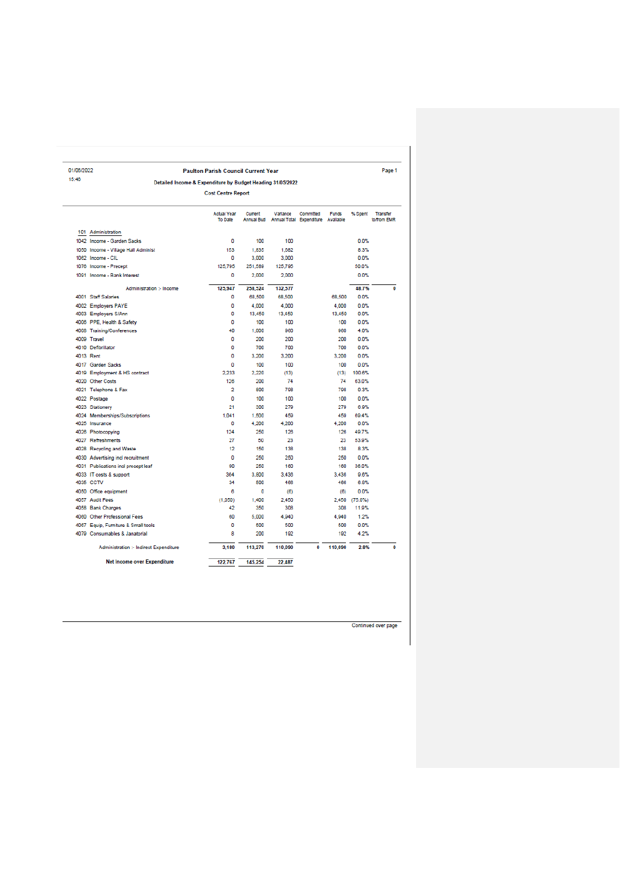| 01/06/2022 |                                        | <b>Paulton Parish Council Current Year</b>                 |         |                                                           |           |              |            | Page 1                         |
|------------|----------------------------------------|------------------------------------------------------------|---------|-----------------------------------------------------------|-----------|--------------|------------|--------------------------------|
| 15:46      |                                        | Detailed Income & Expenditure by Budget Heading 31/05/2022 |         |                                                           |           |              |            |                                |
|            |                                        | <b>Cost Centre Report</b>                                  |         |                                                           |           |              |            |                                |
|            |                                        | <b>Actual Year</b><br>To Date                              | Current | Variance<br>Annual Bud Annual Total Expenditure Available | Committed | <b>Funds</b> | % Spent    | <b>Transfer</b><br>to/from EMR |
|            | 101 Administration                     |                                                            |         |                                                           |           |              |            |                                |
|            | 1042 Income - Garden Sacks             | o                                                          | 100     | 100                                                       |           |              | 0.0%       |                                |
|            | 1050 Income - Village Hall Administ    | 153                                                        | 1.835   | 1.682                                                     |           |              | 8.3%       |                                |
|            | 1062 Income - CIL                      | 0                                                          | 3,000   | 3,000                                                     |           |              | 0.0%       |                                |
|            | 1076 Income - Precept                  | 125,795                                                    | 251,589 | 125,795                                                   |           |              | 50.0%      |                                |
|            | 1091 Income - Bank Interest            | ٥                                                          | 2,000   | 2,000                                                     |           |              | 0.0%       |                                |
|            | Administration :- Income               | 125,947                                                    | 258,524 | 132,577                                                   |           |              | 48.7%      | $\bf{0}$                       |
|            | 4001 Staff Salaries                    | 0                                                          | 68,500  | 68,500                                                    |           | 68,500       | 0.0%       |                                |
|            | 4002 Employers PAYE                    | 0                                                          | 4.000   | 4.000                                                     |           | 4.000        | 0.0%       |                                |
|            | 4003 Employers S/Ann                   | 0                                                          | 13.450  | 13,450                                                    |           | 13,450       | 0.0%       |                                |
|            | 4006 PPE, Health & Safety              | O                                                          | 100     | 100                                                       |           | 100          | 0.0%       |                                |
|            | 4008 Training/Conferences              | 40                                                         | 1.000   | 960                                                       |           | 960          | 4.0%       |                                |
|            | 4009 Travel                            | n                                                          | 200     | 200                                                       |           | 200          | 0.0%       |                                |
|            | 4010 Defibrillator                     | O                                                          | 700     | 700                                                       |           | 700          | 0.0%       |                                |
|            | 4013 Rent                              | 0                                                          | 3.200   | 3.200                                                     |           | 3.200        | 0.0%       |                                |
|            | 4017 Garden Sacks                      | 0                                                          | 100     | 100                                                       |           | 100          | 0.0%       |                                |
|            | 4019 Employment & HS contract          | 2.233                                                      | 2.220   | (13)                                                      |           | (13)         | 100.6%     |                                |
|            | 4020 Other Costs                       | 126                                                        | 200     | 74                                                        |           | 74           | 63.0%      |                                |
|            | 4021 Telephone & Fax                   | <sup>2</sup>                                               | 800     | 798                                                       |           | 798          | 0.3%       |                                |
|            | 4022 Postage                           | Ō                                                          | 100     | 100                                                       |           | 100          | 0.0%       |                                |
|            | 4023 Stationery                        | 21                                                         | 300     | 279                                                       |           | 279          | 6.9%       |                                |
|            | 4024 Memberships/Subscriptions         | 1.041                                                      | 1,500   | 459                                                       |           | 459          | 69.4%      |                                |
|            | 4025 Insurance                         | 0                                                          | 4,200   | 4.200                                                     |           | 4.200        | 0.0%       |                                |
|            | 4026 Photocopying                      | 124                                                        | 250     | 126                                                       |           | 126          | 49.7%      |                                |
|            | 4027 Refreshments                      | 27                                                         | 50      | 23                                                        |           | 23           | 53.9%      |                                |
|            | 4028 Recycling and Waste               | 12                                                         | 150     | 138                                                       |           | 138          | 8.3%       |                                |
|            | 4030 Advertising incl recruitment      | 0                                                          | 250     | 250                                                       |           | 250          | 0.0%       |                                |
|            | 4031 Publications incl precept leaf    | 90                                                         | 250     | 160                                                       |           | 160          | 36.0%      |                                |
|            | 4033 IT costs & support                | 364                                                        | 3,800   | 3.436                                                     |           | 3,436        | 9.6%       |                                |
|            | 4035 CCTV                              | 34                                                         | 500     | 466                                                       |           | 466          | 6.8%       |                                |
|            | 4050 Office equipment                  | 6                                                          | 0       | (6)                                                       |           | (6)          | 0.0%       |                                |
|            | 4057 Audit Fees                        | (1.050)                                                    | 1,400   | 2.450                                                     |           | 2.450        | $(75.0\%)$ |                                |
|            | 4058 Bank Charges                      | 42                                                         | 350     | 308                                                       |           | 308          | 11.9%      |                                |
|            | 4060 Other Professional Fees           | 60                                                         | 5.000   | 4,940                                                     |           | 4.940        | 1.2%       |                                |
|            | 4067 Equip, Furniture & Small tools    | 0                                                          | 500     | 500                                                       |           | 500          | 0.0%       |                                |
|            | 4079 Consumables & Janatorial          | 8                                                          | 200     | 192                                                       |           | 192          | 4.2%       |                                |
|            | Administration :- Indirect Expenditure | 3,180                                                      | 113,270 | 110,090                                                   | 0         | 110,090      | 2.8%       | $\Omega$                       |
|            |                                        |                                                            |         |                                                           |           |              |            |                                |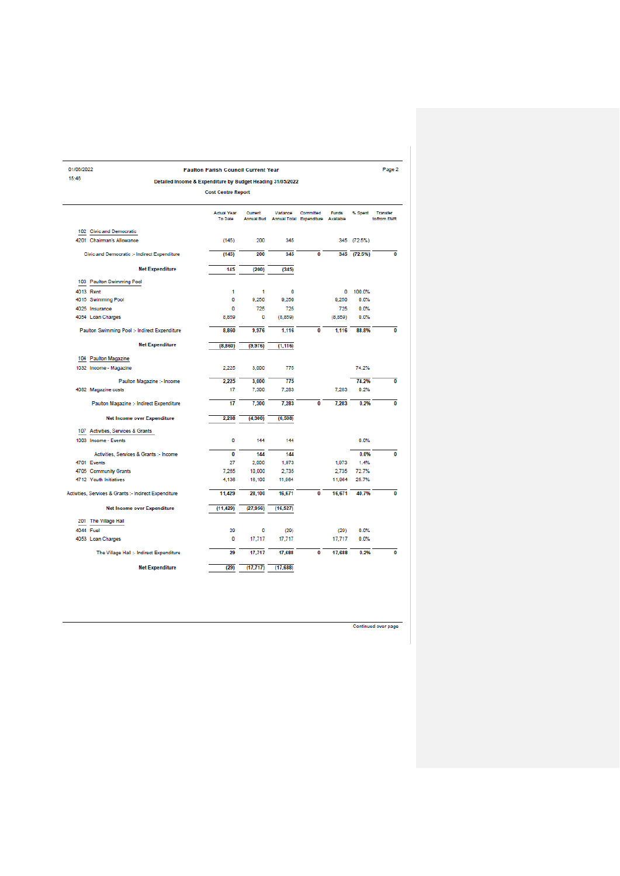| 01/06/2022                                                 | <b>Paulton Parish Council Current Year</b> |                       |           |                                                 |              |             | Page 2                         |
|------------------------------------------------------------|--------------------------------------------|-----------------------|-----------|-------------------------------------------------|--------------|-------------|--------------------------------|
| 15:46                                                      |                                            |                       |           |                                                 |              |             |                                |
| Detailed Income & Expenditure by Budget Heading 31/05/2022 |                                            |                       |           |                                                 |              |             |                                |
|                                                            | <b>Cost Centre Report</b>                  |                       |           |                                                 |              |             |                                |
|                                                            | <b>Actual Year</b><br>To Date              | Current<br>Annual Bud | Variance  | Committed<br>Annual Total Expenditure Available | <b>Funds</b> | % Spent     | <b>Transfer</b><br>to/from EMR |
| 102 Civic and Democratic                                   |                                            |                       |           |                                                 |              |             |                                |
| 4201 Chairman's Allowance                                  | (145)                                      | 200                   | 345       |                                                 |              | 345 (72.5%) |                                |
| Civic and Democratic :- Indirect Expenditure               | (145)                                      | 200                   | 345       | Ō                                               |              | 345 (72.5%) | 0                              |
| <b>Net Expenditure</b>                                     | 145                                        | (200)                 | (345)     |                                                 |              |             |                                |
| 103 Paulton Swimming Pool                                  |                                            |                       |           |                                                 |              |             |                                |
| 4013 Rent                                                  | 1                                          | 1                     | 0         |                                                 | 0            | 100.0%      |                                |
| 4015 Swimming Pool                                         | 0                                          | 9,250                 | 9,250     |                                                 | 9,250        | 0.0%        |                                |
| 4025 Insurance                                             | 0                                          | 725                   | 725       |                                                 | 725          | 0.0%        |                                |
| 4054 Loan Charges                                          | 8,859                                      | 0                     | (8,859)   |                                                 | (8,859)      | 0.0%        |                                |
| Paulton Swimming Pool :- Indirect Expenditure              | 8,860                                      | 9.976                 | 1.116     | 0                                               | 1.116        | 88.8%       | 0                              |
| <b>Net Expenditure</b>                                     | (8,860)                                    | (9.976)               | (1, 116)  |                                                 |              |             |                                |
| 104 Paulton Magazine                                       |                                            |                       |           |                                                 |              |             |                                |
| 1032 Income - Magazine                                     | 2.225                                      | 3,000                 | 775       |                                                 |              | 74.2%       |                                |
| Paulton Magazine :- Income                                 | 2,225                                      | 3,000                 | 775       |                                                 |              | 74.2%       | 0                              |
| 4082 Magazine costs                                        | 17                                         | 7,300                 | 7,283     |                                                 | 7,283        | 0.2%        |                                |
| Paulton Magazine :- Indirect Expenditure                   | 17                                         | 7.300                 | 7.283     | $\bf{0}$                                        | 7.283        | 0.2%        | 0                              |
| <b>Net Income over Expenditure</b>                         | 2,208                                      | (4, 300)              | (6, 508)  |                                                 |              |             |                                |
| Activities, Services & Grants<br>107                       |                                            |                       |           |                                                 |              |             |                                |
| 1003 Income - Events                                       | 0                                          | 144                   | 144       |                                                 |              | 0.0%        |                                |
| Activities, Services & Grants :- Income                    | $\bf{0}$                                   | 144                   | 144       |                                                 |              | 0.0%        | 0                              |
| 4701 Events                                                | 27                                         | 2,000                 | 1.973     |                                                 | 1.973        | 1.4%        |                                |
| 4705 Community Grants                                      | 7.265                                      | 10,000                | 2.735     |                                                 | 2.735        | 72.7%       |                                |
| 4712 Youth Initiatives                                     | 4,136                                      | 16,100                | 11,964    |                                                 | 11,964       | 25.7%       |                                |
| Activities, Services & Grants :- Indirect Expenditure      | 11,429                                     | 28.100                | 16,671    | $\bf{0}$                                        | 16,671       | 40.7%       | 0                              |
| <b>Net Income over Expenditure</b>                         | (11, 429)                                  | (27, 956)             | (16, 527) |                                                 |              |             |                                |
| 201 The Village Hall                                       |                                            |                       |           |                                                 |              |             |                                |
| 4044 Fuel                                                  | 29                                         | O                     | (29)      |                                                 | (29)         | 0.0%        |                                |
| 4053 Loan Charges                                          | 0                                          | 17.717                | 17.717    |                                                 | 17.717       | 0.0%        |                                |
|                                                            | 29                                         | 17,717                | 17,688    | $\bf{0}$                                        | 17,688       | 0.2%        | 0                              |
| The Village Hall :- Indirect Expenditure                   |                                            |                       |           |                                                 |              |             |                                |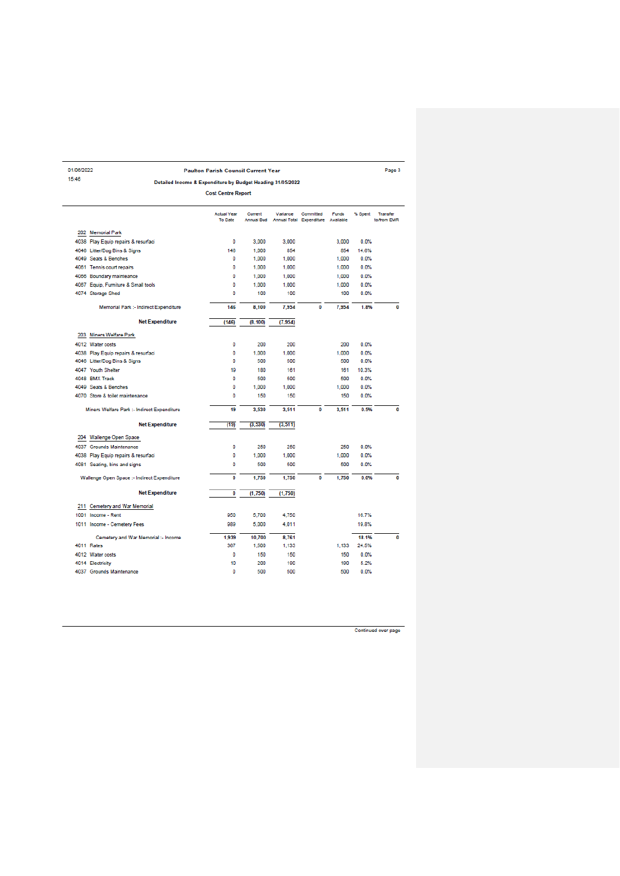| 01/06/2022 |                                                            | <b>Paulton Parish Council Current Year</b> |                       |          |                                       |                           |         | Page 3                         |
|------------|------------------------------------------------------------|--------------------------------------------|-----------------------|----------|---------------------------------------|---------------------------|---------|--------------------------------|
| 15:46      | Detailed Income & Expenditure by Budget Heading 31/05/2022 |                                            |                       |          |                                       |                           |         |                                |
|            |                                                            | <b>Cost Centre Report</b>                  |                       |          |                                       |                           |         |                                |
|            |                                                            | <b>Actual Year</b><br><b>To Date</b>       | Current<br>Annual Bud | Variance | Committed<br>Annual Total Expenditure | <b>Funds</b><br>Available | % Spent | <b>Transfer</b><br>to/from EMR |
|            | 202 Memorial Park                                          |                                            |                       |          |                                       |                           |         |                                |
|            | 4038 Play Equip repairs & resurfaci                        | 0                                          | 3,000                 | 3,000    |                                       | 3,000                     | 0.0%    |                                |
|            | 4046 Litter/Dog Bins & Signs                               | 146                                        | 1.000                 | 854      |                                       | 854                       | 14.6%   |                                |
|            | 4049 Seats & Benches                                       | 0                                          | 1,000                 | 1.000    |                                       | 1,000                     | 0.0%    |                                |
|            | 4061 Tennis court repairs                                  | 0                                          | 1,000                 | 1,000    |                                       | 1,000                     | 0.0%    |                                |
|            | 4066 Boundary mainteance                                   | 0                                          | 1.000                 | 1.000    |                                       | 1.000                     | 0.0%    |                                |
|            | 4067 Equip, Furniture & Small tools                        | 0                                          | 1,000                 | 1,000    |                                       | 1,000                     | 0.0%    |                                |
|            | 4074 Storage Shed                                          | n                                          | 100                   | 100      |                                       | 100                       | 0.0%    |                                |
|            | Memorial Park :- Indirect Expenditure                      | 146                                        | 8.100                 | 7.954    | 0                                     | 7.954                     | 1.8%    |                                |
|            | <b>Net Expenditure</b>                                     | (146)                                      | (8.100)               | (7, 954) |                                       |                           |         |                                |
|            | 203 Miners Welfare Park                                    |                                            |                       |          |                                       |                           |         |                                |
|            | 4012 Water costs                                           | 0                                          | 200                   | 200      |                                       | 200                       | 0.0%    |                                |
|            | 4038 Play Equip repairs & resurfaci                        | 0                                          | 1.000                 | 1.000    |                                       | 1.000                     | 0.0%    |                                |
|            | 4046 Litter/Dog Bins & Signs                               | O                                          | 500                   | 500      |                                       | 500                       | 0.0%    |                                |
|            | 4047 Youth Shelter                                         | 19                                         | 180                   | 161      |                                       | 161                       | 10.3%   |                                |
|            | 4048 BMX Track                                             | 0                                          | 500                   | 500      |                                       | 500                       | 0.0%    |                                |
|            | 4049 Seats & Benches                                       | 0                                          | 1.000                 | 1.000    |                                       | 1.000                     | 0.0%    |                                |
|            | 4070 Store & toilet maintenance                            | 0                                          | 150                   | 150      |                                       | 150                       | 0.0%    |                                |
|            | Miners Welfare Park :- Indirect Expenditure                | 19                                         | 3,530                 | 3,511    | 0                                     | 3,511                     | 0.5%    |                                |
|            | <b>Net Expenditure</b>                                     | (19)                                       | (3.530)               | (3, 511) |                                       |                           |         |                                |
|            | 204 Wallenge Open Space                                    |                                            |                       |          |                                       |                           |         |                                |
|            | 4037 Grounds Maintenance                                   | 0                                          | 250                   | 250      |                                       | 250                       | 0.0%    |                                |
|            | 4038 Play Equip repairs & resurfaci                        | 0                                          | 1,000                 | 1,000    |                                       | 1,000                     | 0.0%    |                                |
|            | 4081 Seating, bins and signs                               | 0                                          | 500                   | 500      |                                       | 500                       | 0.0%    |                                |
|            | Wallenge Open Space :- Indirect Expenditure                | 0                                          | 1,750                 | 1,750    | 0                                     | 1,750                     | 0.0%    |                                |
|            | <b>Net Expenditure</b>                                     | 0                                          | (1,750)               | (1,750)  |                                       |                           |         |                                |
| 211        | Cemetery and War Memorial                                  |                                            |                       |          |                                       |                           |         |                                |
|            | 1001 Income - Rent                                         | 950                                        | 5.700                 | 4.750    |                                       |                           | 16.7%   |                                |
|            | 1011 Income - Cemetery Fees                                | 989                                        | 5,000                 | 4,011    |                                       |                           | 19.8%   |                                |
|            | Cemetery and War Memorial :- Income                        | 1.939                                      | 10.700                | 8.761    |                                       |                           | 18.1%   |                                |
|            | 4011 Rates                                                 | 367                                        | 1.500                 | 1.133    |                                       | 1.133                     | 24.5%   |                                |
|            | 4012 Water costs                                           | 0                                          | 150                   | 150      |                                       | 150                       | 0.0%    |                                |
|            | 4014 Electricity                                           | 10                                         | 200                   | 190      |                                       | 190                       | 5.2%    |                                |
|            | 4037 Grounds Maintenance                                   | 0                                          | 500                   | 500      |                                       | 500                       | 0.0%    |                                |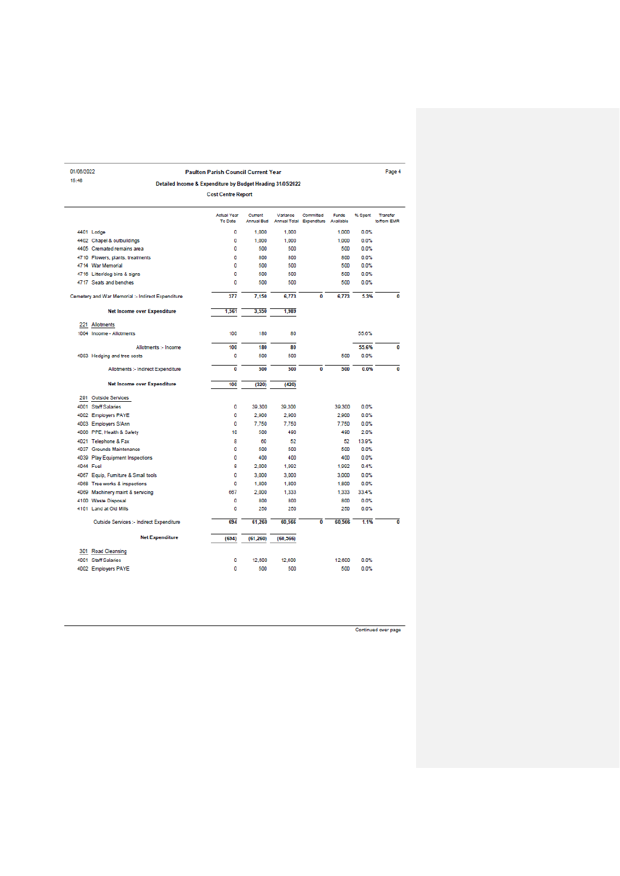**Paulton Parish Council Current Year** 

Detailed Income & Expenditure by Budget Heading 31/05/2022

01/06/2022

 $15:46$ 

Page 4

|     |                                                   | <b>Cost Centre Report</b>     |                       |                                 |                          |                           |         |                                |
|-----|---------------------------------------------------|-------------------------------|-----------------------|---------------------------------|--------------------------|---------------------------|---------|--------------------------------|
|     |                                                   | <b>Actual Year</b><br>To Date | Current<br>Annual Bud | Variance<br><b>Annual Total</b> | Committed<br>Expenditure | <b>Funds</b><br>Available | % Spent | <b>Transfer</b><br>to/from EMR |
|     | 4401 Lodge                                        | 0                             | 1,000                 | 1,000                           |                          | 1,000                     | 0.0%    |                                |
|     | 4402 Chapel & outbuildings                        | ٥                             | 1,000                 | 1.000                           |                          | 1.000                     | 0.0%    |                                |
|     | 4405 Cremated remains area                        | ٥                             | 500                   | 500                             |                          | 500                       | 0.0%    |                                |
|     | 4710 Flowers, plants, treatments                  | 0                             | 800                   | 800                             |                          | 800                       | 0.0%    |                                |
|     | 4714 War Memorial                                 | 0                             | 500                   | 500                             |                          | 500                       | 0.0%    |                                |
|     | 4716 Litter/dog bins & signs                      | 0                             | 500                   | 500                             |                          | 500                       | 0.0%    |                                |
|     | 4717 Seats and benches                            | ٥                             | 500                   | 500                             |                          | 500                       | 0.0%    |                                |
|     | Cemetery and War Memorial :- Indirect Expenditure | 377                           | 7,150                 | 6,773                           | 0                        | 6.773                     | 5.3%    | 0                              |
|     | <b>Net Income over Expenditure</b>                | 1.561                         | 3.550                 | 1,989                           |                          |                           |         |                                |
| 221 | Allotments                                        |                               |                       |                                 |                          |                           |         |                                |
|     | 1004 Income - Allotments                          | 100                           | 180                   | 80                              |                          |                           | 55.6%   |                                |
|     | Allotments :- Income                              | 100                           | 180                   | 80                              |                          |                           | 55.6%   | 0                              |
|     | 4083 Hedging and tree costs                       | 0                             | 500                   | 500                             |                          | 500                       | 0.0%    |                                |
|     | Allotments :- Indirect Expenditure                | 0                             | 500                   | 500                             | $\bf{0}$                 | 500                       | 0.0%    | 0                              |
|     | <b>Net Income over Expenditure</b>                | 100                           | (320)                 | (420)                           |                          |                           |         |                                |
|     | 291 Outside Services                              |                               |                       |                                 |                          |                           |         |                                |
|     | 4001 Staff Salaries                               | 0                             | 39,300                | 39,300                          |                          | 39,300                    | 0.0%    |                                |
|     | 4002 Employers PAYE                               | ٥                             | 2,900                 | 2,900                           |                          | 2,900                     | 0.0%    |                                |
|     | 4003 Employers S/Ann                              | 0                             | 7,750                 | 7.750                           |                          | 7,750                     | 0.0%    |                                |
|     | 4006 PPE, Health & Safety                         | 10                            | 500                   | 490                             |                          | 490                       | 2.0%    |                                |
|     | 4021 Telephone & Fax                              | 8                             | 60                    | 52                              |                          | 52                        | 13.9%   |                                |
|     | 4037 Grounds Maintenance                          | 0                             | 500                   | 500                             |                          | 500                       | 0.0%    |                                |
|     | 4039 Play Equipment Inspections                   | 0                             | 400                   | 400                             |                          | 400                       | 0.0%    |                                |
|     | <b>4044 Fuel</b>                                  | 8                             | 2,000                 | 1.992                           |                          | 1.992                     | 0.4%    |                                |
|     | 4067 Equip, Furniture & Small tools               | 0                             | 3,000                 | 3,000                           |                          | 3,000                     | 0.0%    |                                |
|     | 4068 Tree works & inspections                     | 0                             | 1,800                 | 1,800                           |                          | 1,800                     | 0.0%    |                                |
|     | 4069 Machinery maint & servicing                  | 667                           | 2,000                 | 1.333                           |                          | 1.333                     | 33.4%   |                                |
|     | 4100 Waste Disposal                               | 0                             | 800                   | 800                             |                          | 800                       | 0.0%    |                                |
|     | 4101 Land at Old Mills                            | o                             | 250                   | 250                             |                          | 250                       | 0.0%    |                                |
|     | Outside Services :- Indirect Expenditure          | 694                           | 61.260                | 60.566                          | $\overline{0}$           | 60,566                    | 1.1%    | $\overline{0}$                 |
|     | <b>Net Expenditure</b>                            | (694)                         | (61, 260)             | (60, 566)                       |                          |                           |         |                                |
|     | 301 Road Cleansing                                |                               |                       |                                 |                          |                           |         |                                |
|     | 4001 Staff Salaries                               | 0                             | 12,600                | 12,600                          |                          | 12,600                    | 0.0%    |                                |
|     | 4002 Employers PAYE                               | 0                             | 500                   | 500                             |                          | 500                       | 0.0%    |                                |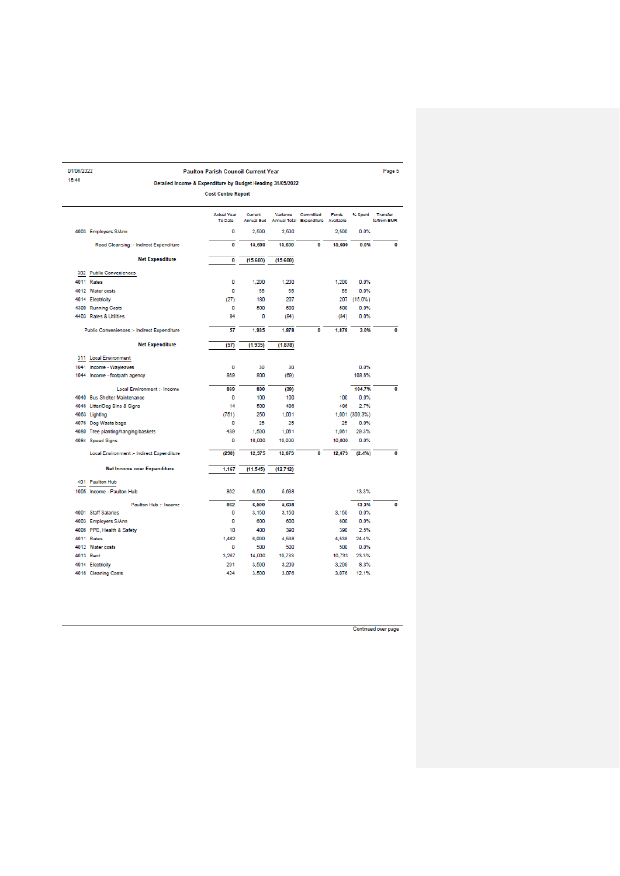| 01/06/2022 |                                                            | <b>Paulton Parish Council Current Year</b> |                              |                                 |                          |                           |                | Page 5                         |
|------------|------------------------------------------------------------|--------------------------------------------|------------------------------|---------------------------------|--------------------------|---------------------------|----------------|--------------------------------|
| 15:46      | Detailed Income & Expenditure by Budget Heading 31/05/2022 |                                            |                              |                                 |                          |                           |                |                                |
|            |                                                            | <b>Cost Centre Report</b>                  |                              |                                 |                          |                           |                |                                |
|            |                                                            | <b>Actual Year</b><br><b>To Date</b>       | Current<br><b>Annual Bud</b> | Variance<br><b>Annual Total</b> | Committed<br>Expenditure | <b>Funds</b><br>Available | % Spent        | <b>Transfer</b><br>to/from EMR |
|            | 4003 Employers S/Ann                                       | 0                                          | 2.500                        | 2,500                           |                          | 2.500                     | 0.0%           |                                |
|            | Road Cleansing :- Indirect Expenditure                     | 0                                          | 15,600                       | 15,600                          | 0                        | 15,600                    | 0.0%           | 0                              |
|            | <b>Net Expenditure</b>                                     | 0                                          | (15.600)                     | (15,600)                        |                          |                           |                |                                |
|            | 302 Public Conveniences                                    |                                            |                              |                                 |                          |                           |                |                                |
|            | 4011 Rates                                                 | 0                                          | 1,200                        | 1,200                           |                          | 1.200                     | 0.0%           |                                |
|            | 4012 Water costs                                           | 0                                          | 55                           | 55                              |                          | 55                        | 0.0%           |                                |
|            | 4014 Electricity                                           | (27)                                       | 180                          | 207                             |                          | 207                       | $(15.0\%)$     |                                |
|            | 4300 Running Costs                                         | 0                                          | 500                          | 500                             |                          | 500                       | 0.0%           |                                |
|            | 4403 Rates & Utilities                                     | 84                                         | 0                            | (84)                            |                          | (84)                      | 0.0%           |                                |
|            | Public Conveniences :- Indirect Expenditure                | 57                                         | 1.935                        | 1,878                           | $\overline{0}$           | 1,878                     | 3.0%           | 0                              |
|            | <b>Net Expenditure</b>                                     | (57)                                       | (1.935)                      | (1, 878)                        |                          |                           |                |                                |
|            | 311 Local Environment                                      |                                            |                              |                                 |                          |                           |                |                                |
|            | 1041 Income - Wavleaves                                    | 0                                          | 30                           | 30                              |                          |                           | 0.0%           |                                |
|            | 1044 Income - footpath agency                              | 869                                        | 800                          | (69)                            |                          |                           | 108.6%         |                                |
|            | Local Environment :- Income                                | 869                                        | 830                          | (39)                            |                          |                           | 104.7%         | $\overline{0}$                 |
|            | 4040 Bus Shelter Maintenance                               | 0                                          | 100                          | 100                             |                          | 100                       | 0.0%           |                                |
|            | 4046 Litter/Dog Bins & Signs                               | 14                                         | 500                          | 486                             |                          | 486                       | 2.7%           |                                |
|            | 4063 Lighting                                              | (751)                                      | 250                          | 1.001                           |                          |                           | 1,001 (300.3%) |                                |
|            | 4076 Dog Waste bags                                        | o                                          | 25                           | 25                              |                          | 25                        | 0.0%           |                                |
|            | 4080 Tree planting/hanging baskets                         | 439                                        | 1,500                        | 1,061                           |                          | 1,061                     | 29.3%          |                                |
|            | 4084 Speed Signs                                           | 0                                          | 10,000                       | 10,000                          |                          | 10,000                    | 0.0%           |                                |
|            | Local Environment :- Indirect Expenditure                  | (298)                                      | 12,375                       | 12,673                          | ō                        | 12,673                    | (2.4%)         | $\overline{\mathbf{0}}$        |
|            | Net Income over Expenditure                                | 1.167                                      | (11, 545)                    | (12, 712)                       |                          |                           |                |                                |
|            | 401 Paulton Hub                                            |                                            |                              |                                 |                          |                           |                |                                |
|            | 1005 Income - Paulton Hub                                  | 862                                        | 6,500                        | 5.638                           |                          |                           | 13.3%          |                                |
|            | Paulton Hub :- Income                                      | 862                                        | 6.500                        | 5,638                           |                          |                           | 13.3%          | $\bf{0}$                       |
|            | 4001 Staff Salaries                                        | 0                                          | 3,150                        | 3,150                           |                          | 3.150                     | 0.0%           |                                |
|            | 4003 Employers S/Ann                                       | 0                                          | 600                          | 600                             |                          | 600                       | 0.0%           |                                |
|            | 4006 PPE, Health & Safety                                  | 10                                         | 400                          | 390                             |                          | 390                       | 2.5%           |                                |
|            | 4011 Rates                                                 | 1,462                                      | 6.000                        | 4.538                           |                          | 4.538                     | 24.4%          |                                |
|            | 4012 Water costs                                           | O                                          | 500                          | 500                             |                          | 500                       | 0.0%           |                                |
|            | 4013 Rent                                                  | 3.267                                      | 14,000                       | 10.733                          |                          | 10.733                    | 23.3%          |                                |
|            | 4014 Electricity                                           | 291                                        | 3,500                        | 3,209                           |                          | 3,209                     | 8.3%           |                                |
|            | 4016 Cleaning Costs                                        | 424                                        | 3.500                        | 3.076                           |                          | 3.076                     | 12.1%          |                                |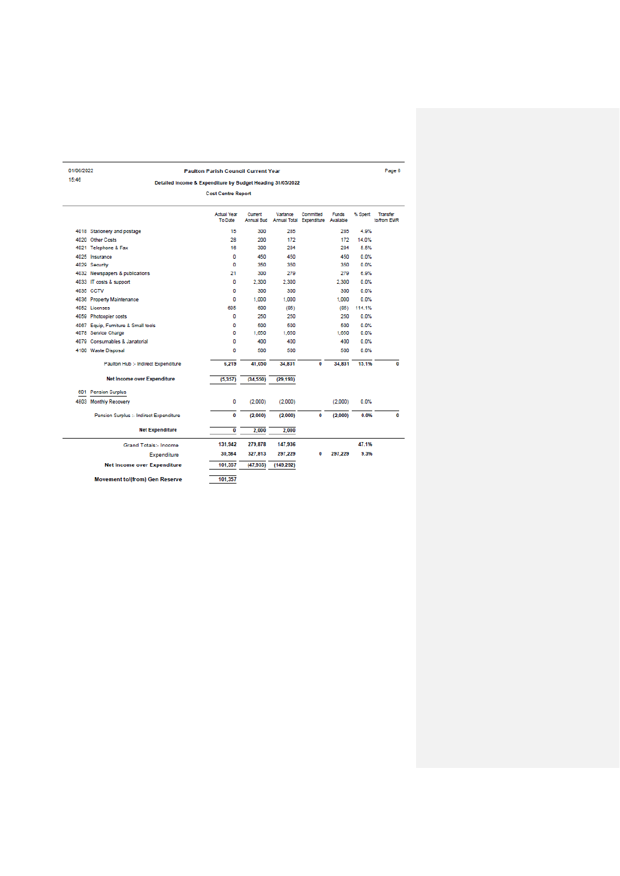Paulton Parish Council Current Year Detailed Income & Expenditure by Budget Heading 31/05/2022

01/06/2022

 $15:46$ 

Page 6

|  |                                         | <b>Cost Centre Report</b>            |                              |            |                                       |                           |         |                         |
|--|-----------------------------------------|--------------------------------------|------------------------------|------------|---------------------------------------|---------------------------|---------|-------------------------|
|  |                                         | <b>Actual Year</b><br><b>To Date</b> | Current<br><b>Annual Bud</b> | Variance   | Committed<br>Annual Total Expenditure | <b>Funds</b><br>Available | % Spent | Transfer<br>to/from EMR |
|  | 4018 Stationery and postage             | 15                                   | 300                          | 285        |                                       | 285                       | 4.9%    |                         |
|  | 4020 Other Costs                        | 28                                   | 200                          | 172        |                                       | 172                       | 14.0%   |                         |
|  | 4021 Telephone & Fax                    | 16                                   | 300                          | 284        |                                       | 284                       | 5.5%    |                         |
|  | 4025 Insurance                          | 0                                    | 450                          | 450        |                                       | 450                       | 0.0%    |                         |
|  | 4029 Security                           | 0                                    | 350                          | 350        |                                       | 350                       | 0.0%    |                         |
|  | 4032 Newspapers & publications          | 21                                   | 300                          | 279        |                                       | 279                       | 6.9%    |                         |
|  | 4033 IT costs & support                 | 0                                    | 2.300                        | 2.300      |                                       | 2.300                     | 0.0%    |                         |
|  | 4035 CCTV                               | ٥                                    | 300                          | 300        |                                       | 300                       | 0.0%    |                         |
|  | 4036 Property Maintenance               | 0                                    | 1.000                        | 1.000      |                                       | 1.000                     | 0.0%    |                         |
|  | 4052 Licenses                           | 685                                  | 600                          | (85)       |                                       | (85)                      | 114.1%  |                         |
|  | 4059 Photoopier costs                   | 0                                    | 250                          | 250        |                                       | 250                       | 0.0%    |                         |
|  | 4067 Equip, Furniture & Small tools     | 0                                    | 500                          | 500        |                                       | 500                       | 0.0%    |                         |
|  | 4078 Service Charge                     | 0                                    | 1.650                        | 1.650      |                                       | 1.650                     | 0.0%    |                         |
|  | 4079 Consumables & Janatorial           | 0                                    | 400                          | 400        |                                       | 400                       | 0.0%    |                         |
|  | 4100 Waste Disposal                     | ٥                                    | 500                          | 500        |                                       | 500                       | 0.0%    |                         |
|  | Paulton Hub :- Indirect Expenditure     | 6,219                                | 41.050                       | 34.831     | 0                                     | 34,831                    | 15.1%   | 0                       |
|  | <b>Net Income over Expenditure</b>      | (5.357)                              | (34.550)                     | (29, 193)  |                                       |                           |         |                         |
|  | 601 Pension Surplus                     |                                      |                              |            |                                       |                           |         |                         |
|  | 4803 Monthly Recovery                   | 0                                    | (2,000)                      | (2,000)    |                                       | (2,000)                   | 0.0%    |                         |
|  | Pension Surplus :- Indirect Expenditure | 0                                    | (2,000)                      | (2,000)    | 0                                     | (2,000)                   | 0.0%    | 0                       |
|  | <b>Net Expenditure</b>                  | $\overline{\mathbf{0}}$              | 2.000                        | 2,000      |                                       |                           |         |                         |
|  | <b>Grand Totals:- Income</b>            | 131,942                              | 279,878                      | 147,936    |                                       |                           | 47.1%   |                         |
|  | Expenditure                             | 30,584                               | 327,813                      | 297,229    | 0                                     | 297.229                   | 9.3%    |                         |
|  | <b>Net Income over Expenditure</b>      | 101,357                              | (47, 935)                    | (149, 292) |                                       |                           |         |                         |
|  | <b>Movement to/(from) Gen Reserve</b>   | 101.357                              |                              |            |                                       |                           |         |                         |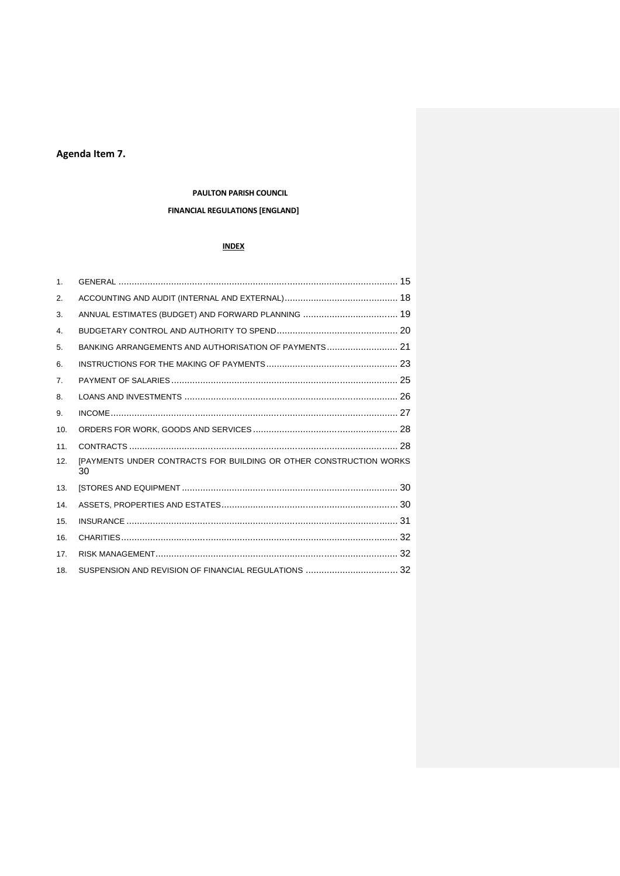# **Agenda Item 7.**

#### **PAULTON PARISH COUNCIL**

# **FINANCIAL REGULATIONS [ENGLAND]**

#### **INDEX**

| 1 <sub>1</sub>  |                                                                          |  |
|-----------------|--------------------------------------------------------------------------|--|
| 2.              |                                                                          |  |
| 3.              |                                                                          |  |
| 4.              |                                                                          |  |
| 5.              | BANKING ARRANGEMENTS AND AUTHORISATION OF PAYMENTS 21                    |  |
| 6.              |                                                                          |  |
| 7.              |                                                                          |  |
| 8.              |                                                                          |  |
| 9.              |                                                                          |  |
| 10.             |                                                                          |  |
| 11.             |                                                                          |  |
| 12.             | [PAYMENTS UNDER CONTRACTS FOR BUILDING OR OTHER CONSTRUCTION WORKS<br>30 |  |
| 13.             |                                                                          |  |
| 14.             |                                                                          |  |
| 15.             |                                                                          |  |
| 16.             |                                                                          |  |
| 17 <sub>1</sub> |                                                                          |  |
| 18.             |                                                                          |  |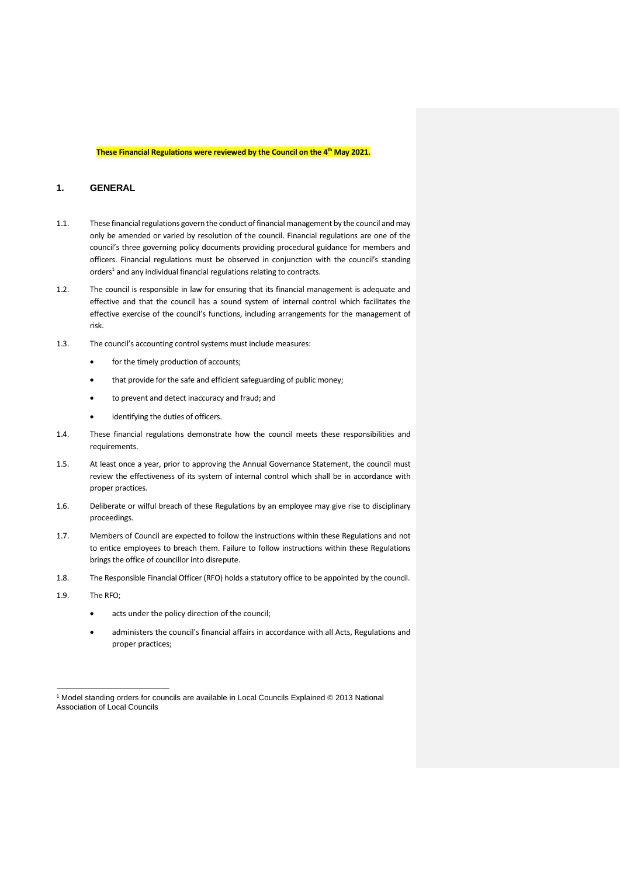#### **These Financial Regulations were reviewed by the Council on the 4th May 2021.**

## <span id="page-14-0"></span>**1. GENERAL**

- 1.1. These financial regulations govern the conduct of financial management by the council and may only be amended or varied by resolution of the council. Financial regulations are one of the council's three governing policy documents providing procedural guidance for members and officers. Financial regulations must be observed in conjunction with the council's standing orders<sup>1</sup> and any individual financial regulations relating to contracts.
- 1.2. The council is responsible in law for ensuring that its financial management is adequate and effective and that the council has a sound system of internal control which facilitates the effective exercise of the council's functions, including arrangements for the management of risk.
- 1.3. The council's accounting control systems must include measures:
	- for the timely production of accounts;
	- that provide for the safe and efficient safeguarding of public money;
	- to prevent and detect inaccuracy and fraud; and
	- identifying the duties of officers.
- 1.4. These financial regulations demonstrate how the council meets these responsibilities and requirements.
- 1.5. At least once a year, prior to approving the Annual Governance Statement, the council must review the effectiveness of its system of internal control which shall be in accordance with proper practices.
- 1.6. Deliberate or wilful breach of these Regulations by an employee may give rise to disciplinary proceedings.
- 1.7. Members of Council are expected to follow the instructions within these Regulations and not to entice employees to breach them. Failure to follow instructions within these Regulations brings the office of councillor into disrepute.
- 1.8. The Responsible Financial Officer (RFO) holds a statutory office to be appointed by the council.
- 1.9. The RFO;
	- acts under the policy direction of the council:
	- administers the council's financial affairs in accordance with all Acts, Regulations and proper practices;

<sup>1</sup> Model standing orders for councils are available in Local Councils Explained © 2013 National Association of Local Councils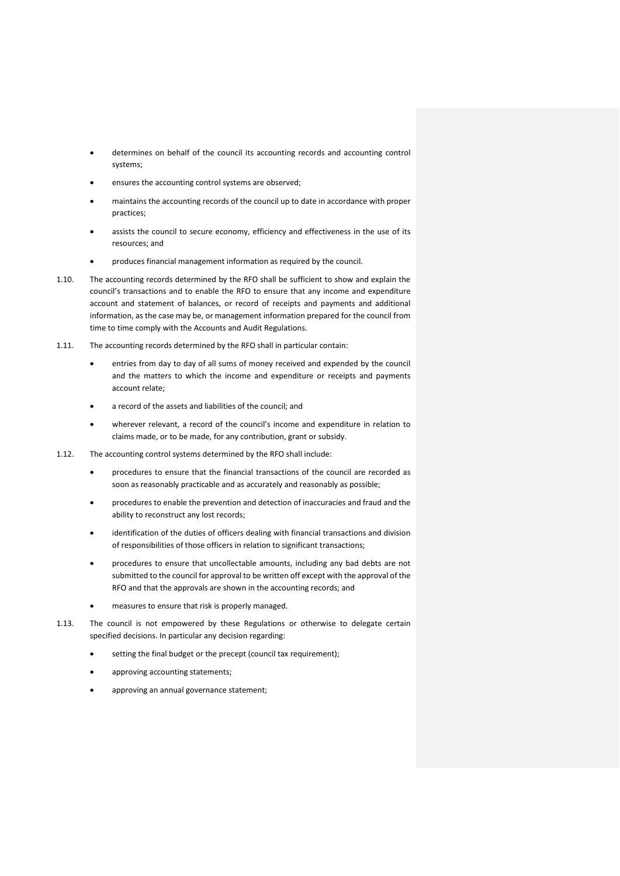- determines on behalf of the council its accounting records and accounting control systems;
- ensures the accounting control systems are observed;
- maintains the accounting records of the council up to date in accordance with proper practices;
- assists the council to secure economy, efficiency and effectiveness in the use of its resources; and
- produces financial management information as required by the council.
- 1.10. The accounting records determined by the RFO shall be sufficient to show and explain the council's transactions and to enable the RFO to ensure that any income and expenditure account and statement of balances, or record of receipts and payments and additional information, as the case may be, or management information prepared for the council from time to time comply with the Accounts and Audit Regulations.
- 1.11. The accounting records determined by the RFO shall in particular contain:
	- entries from day to day of all sums of money received and expended by the council and the matters to which the income and expenditure or receipts and payments account relate;
	- a record of the assets and liabilities of the council; and
	- wherever relevant, a record of the council's income and expenditure in relation to claims made, or to be made, for any contribution, grant or subsidy.
- 1.12. The accounting control systems determined by the RFO shall include:
	- procedures to ensure that the financial transactions of the council are recorded as soon as reasonably practicable and as accurately and reasonably as possible;
	- procedures to enable the prevention and detection of inaccuracies and fraud and the ability to reconstruct any lost records;
	- identification of the duties of officers dealing with financial transactions and division of responsibilities of those officers in relation to significant transactions;
	- procedures to ensure that uncollectable amounts, including any bad debts are not submitted to the council for approval to be written off except with the approval of the RFO and that the approvals are shown in the accounting records; and
	- measures to ensure that risk is properly managed.
- 1.13. The council is not empowered by these Regulations or otherwise to delegate certain specified decisions. In particular any decision regarding:
	- setting the final budget or the precept (council tax requirement);
	- approving accounting statements;
	- approving an annual governance statement;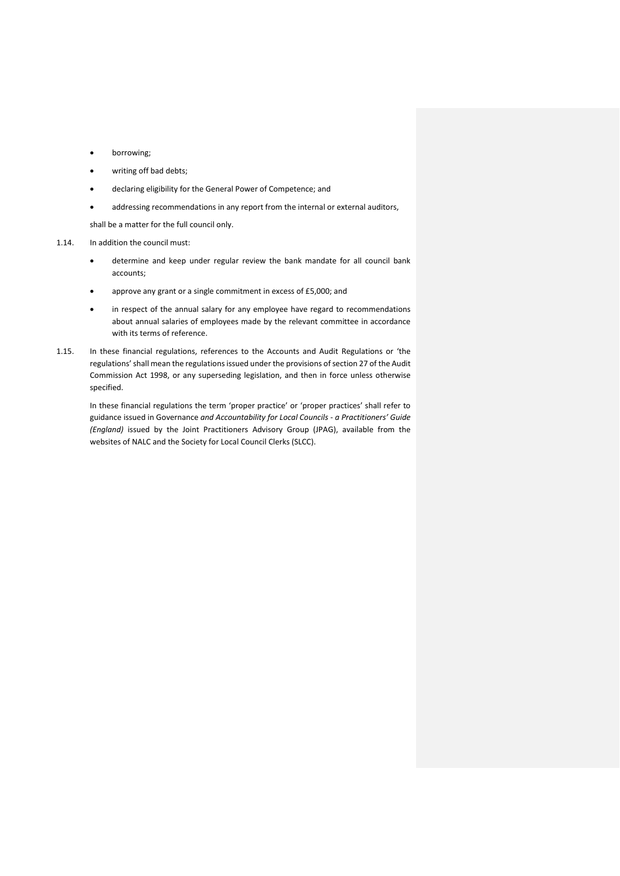- borrowing;
- writing off bad debts;
- declaring eligibility for the General Power of Competence; and
- addressing recommendations in any report from the internal or external auditors,

shall be a matter for the full council only.

1.14. In addition the council must:

- determine and keep under regular review the bank mandate for all council bank accounts;
- approve any grant or a single commitment in excess of £5,000; and
- in respect of the annual salary for any employee have regard to recommendations about annual salaries of employees made by the relevant committee in accordance with its terms of reference.
- 1.15. In these financial regulations, references to the Accounts and Audit Regulations or 'the regulations'shall mean the regulations issued under the provisions of section 27 of the Audit Commission Act 1998, or any superseding legislation, and then in force unless otherwise specified.

<span id="page-16-0"></span>In these financial regulations the term 'proper practice' or 'proper practices' shall refer to guidance issued in Governance *and Accountability for Local Councils - a Practitioners' Guide (England)* issued by the Joint Practitioners Advisory Group (JPAG), available from the websites of NALC and the Society for Local Council Clerks (SLCC).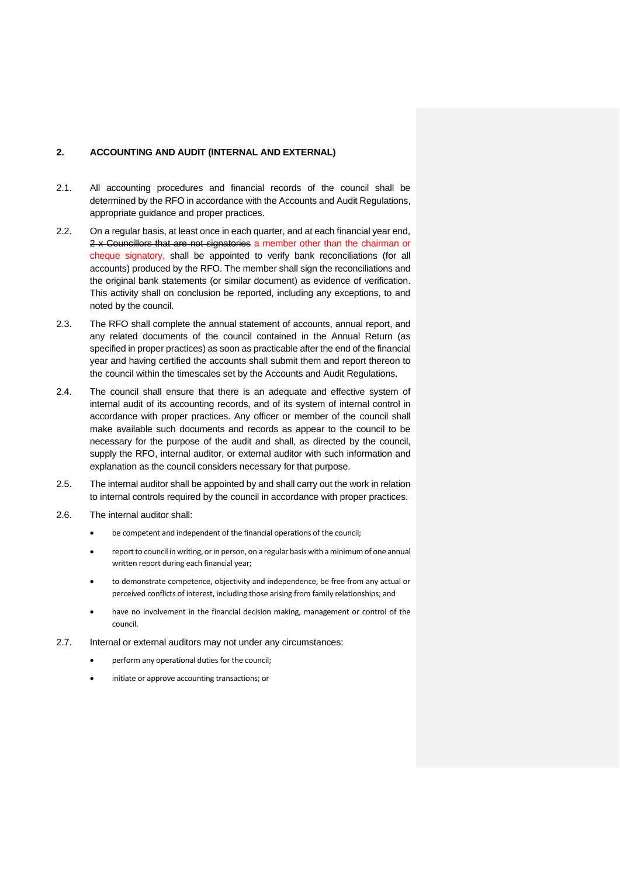#### **2. ACCOUNTING AND AUDIT (INTERNAL AND EXTERNAL)**

- 2.1. All accounting procedures and financial records of the council shall be determined by the RFO in accordance with the Accounts and Audit Regulations, appropriate guidance and proper practices.
- 2.2. On a regular basis, at least once in each quarter, and at each financial year end, 2 x Councillors that are not signatories a member other than the chairman or cheque signatory, shall be appointed to verify bank reconciliations (for all accounts) produced by the RFO. The member shall sign the reconciliations and the original bank statements (or similar document) as evidence of verification. This activity shall on conclusion be reported, including any exceptions, to and noted by the council.
- 2.3. The RFO shall complete the annual statement of accounts, annual report, and any related documents of the council contained in the Annual Return (as specified in proper practices) as soon as practicable after the end of the financial year and having certified the accounts shall submit them and report thereon to the council within the timescales set by the Accounts and Audit Regulations.
- 2.4. The council shall ensure that there is an adequate and effective system of internal audit of its accounting records, and of its system of internal control in accordance with proper practices. Any officer or member of the council shall make available such documents and records as appear to the council to be necessary for the purpose of the audit and shall, as directed by the council, supply the RFO, internal auditor, or external auditor with such information and explanation as the council considers necessary for that purpose.
- 2.5. The internal auditor shall be appointed by and shall carry out the work in relation to internal controls required by the council in accordance with proper practices.
- 2.6. The internal auditor shall:
	- be competent and independent of the financial operations of the council;
	- report to council in writing, or in person, on a regular basis with a minimum of one annual written report during each financial year;
	- to demonstrate competence, objectivity and independence, be free from any actual or perceived conflicts of interest, including those arising from family relationships; and
	- have no involvement in the financial decision making, management or control of the council.
- 2.7. Internal or external auditors may not under any circumstances:
	- perform any operational duties for the council;
	- initiate or approve accounting transactions; or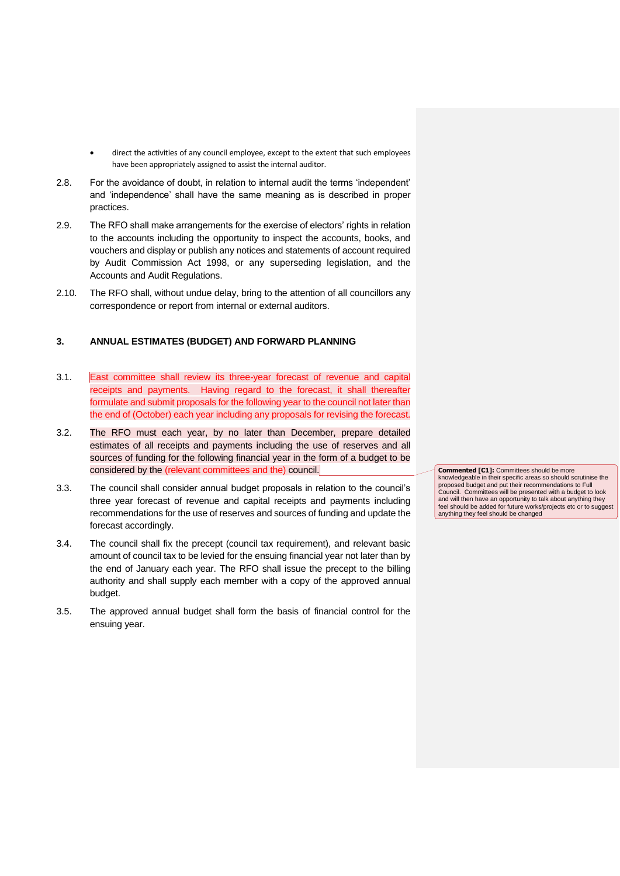- direct the activities of any council employee, except to the extent that such employees have been appropriately assigned to assist the internal auditor.
- 2.8. For the avoidance of doubt, in relation to internal audit the terms 'independent' and 'independence' shall have the same meaning as is described in proper practices.
- 2.9. The RFO shall make arrangements for the exercise of electors' rights in relation to the accounts including the opportunity to inspect the accounts, books, and vouchers and display or publish any notices and statements of account required by Audit Commission Act 1998, or any superseding legislation, and the Accounts and Audit Regulations.
- 2.10. The RFO shall, without undue delay, bring to the attention of all councillors any correspondence or report from internal or external auditors.

#### <span id="page-18-0"></span>**3. ANNUAL ESTIMATES (BUDGET) AND FORWARD PLANNING**

- 3.1. East committee shall review its three-year forecast of revenue and capital receipts and payments. Having regard to the forecast, it shall thereafter formulate and submit proposals for the following year to the council not later than the end of (October) each year including any proposals for revising the forecast.
- 3.2. The RFO must each year, by no later than December, prepare detailed estimates of all receipts and payments including the use of reserves and all sources of funding for the following financial year in the form of a budget to be considered by the (relevant committees and the) council.
- 3.3. The council shall consider annual budget proposals in relation to the council's three year forecast of revenue and capital receipts and payments including recommendations for the use of reserves and sources of funding and update the forecast accordingly.
- 3.4. The council shall fix the precept (council tax requirement), and relevant basic amount of council tax to be levied for the ensuing financial year not later than by the end of January each year. The RFO shall issue the precept to the billing authority and shall supply each member with a copy of the approved annual budget.
- <span id="page-18-1"></span>3.5. The approved annual budget shall form the basis of financial control for the ensuing year.

**Commented [C1]:** Committees should be more knowledgeable in their specific areas so should scrutinise the proposed budget and put their recommendations to Full Council. Committees will be presented with a budget to look and will then have an opportunity to talk about anything they feel should be added for future works/projects etc or to suggest anything they feel should be changed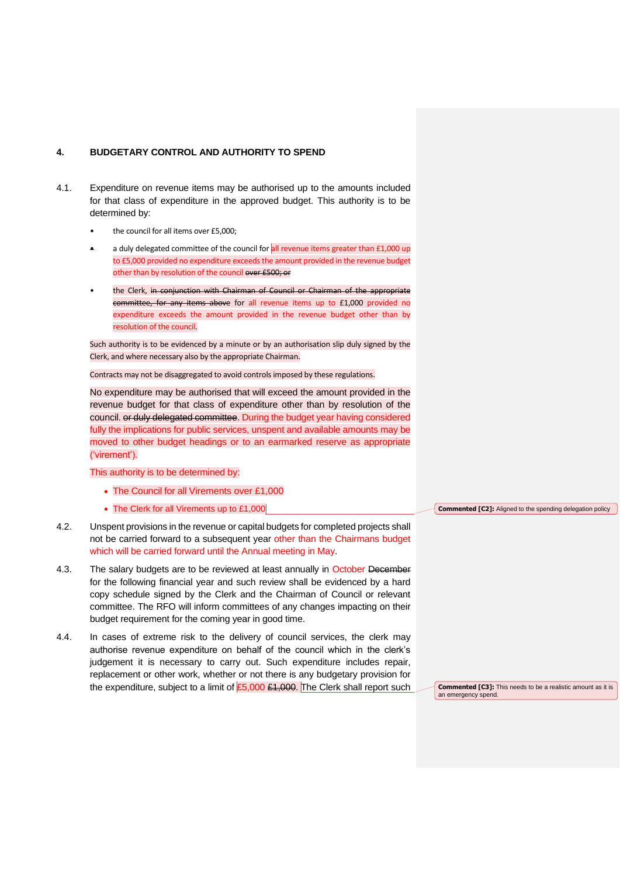#### **4. BUDGETARY CONTROL AND AUTHORITY TO SPEND**

- 4.1. Expenditure on revenue items may be authorised up to the amounts included for that class of expenditure in the approved budget. This authority is to be determined by:
	- the council for all items over £5,000;
	- a duly delegated committee of the council for all revenue items greater than £1,000 up to £5,000 provided no expenditure exceeds the amount provided in the revenue budget other than by resolution of the council over £500; or
	- the Clerk, in conjunction with Chairman of Council or Chairman of the appropriate committee, for any items above for all revenue items up to £1,000 provided no expenditure exceeds the amount provided in the revenue budget other than by resolution of the council.

Such authority is to be evidenced by a minute or by an authorisation slip duly signed by the Clerk, and where necessary also by the appropriate Chairman.

Contracts may not be disaggregated to avoid controls imposed by these regulations.

No expenditure may be authorised that will exceed the amount provided in the revenue budget for that class of expenditure other than by resolution of the council. or duly delegated committee. During the budget year having considered fully the implications for public services, unspent and available amounts may be moved to other budget headings or to an earmarked reserve as appropriate ('virement').

This authority is to be determined by:

- The Council for all Virements over £1,000
- The Clerk for all Virements up to £1,000
- 4.2. Unspent provisions in the revenue or capital budgets for completed projects shall not be carried forward to a subsequent year other than the Chairmans budget which will be carried forward until the Annual meeting in May.
- 4.3. The salary budgets are to be reviewed at least annually in October December for the following financial year and such review shall be evidenced by a hard copy schedule signed by the Clerk and the Chairman of Council or relevant committee. The RFO will inform committees of any changes impacting on their budget requirement for the coming year in good time.
- 4.4. In cases of extreme risk to the delivery of council services, the clerk may authorise revenue expenditure on behalf of the council which in the clerk's judgement it is necessary to carry out. Such expenditure includes repair, replacement or other work, whether or not there is any budgetary provision for the expenditure, subject to a limit of  $£5,000 £1,000$ . The Clerk shall report such

**Commented [C2]:** Aligned to the spending delegation policy

**Commented [C3]:** This needs to be a realistic amount as it is an emergency spend.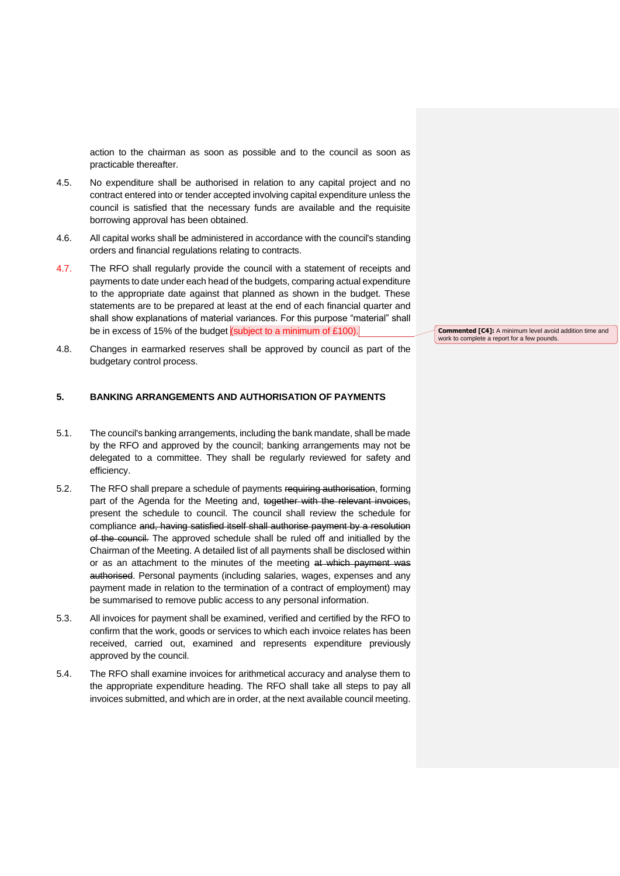action to the chairman as soon as possible and to the council as soon as practicable thereafter.

- 4.5. No expenditure shall be authorised in relation to any capital project and no contract entered into or tender accepted involving capital expenditure unless the council is satisfied that the necessary funds are available and the requisite borrowing approval has been obtained.
- 4.6. All capital works shall be administered in accordance with the council's standing orders and financial regulations relating to contracts.
- 4.7. The RFO shall regularly provide the council with a statement of receipts and payments to date under each head of the budgets, comparing actual expenditure to the appropriate date against that planned as shown in the budget. These statements are to be prepared at least at the end of each financial quarter and shall show explanations of material variances. For this purpose "material" shall be in excess of 15% of the budget (subject to a minimum of £100).
- 4.8. Changes in earmarked reserves shall be approved by council as part of the budgetary control process.

#### <span id="page-20-0"></span>**5. BANKING ARRANGEMENTS AND AUTHORISATION OF PAYMENTS**

- 5.1. The council's banking arrangements, including the bank mandate, shall be made by the RFO and approved by the council; banking arrangements may not be delegated to a committee. They shall be regularly reviewed for safety and efficiency.
- 5.2. The RFO shall prepare a schedule of payments requiring authorisation, forming part of the Agenda for the Meeting and, together with the relevant invoices, present the schedule to council. The council shall review the schedule for compliance and, having satisfied itself shall authorise payment by a resolution of the council. The approved schedule shall be ruled off and initialled by the Chairman of the Meeting. A detailed list of all payments shall be disclosed within or as an attachment to the minutes of the meeting at which payment was authorised. Personal payments (including salaries, wages, expenses and any payment made in relation to the termination of a contract of employment) may be summarised to remove public access to any personal information.
- 5.3. All invoices for payment shall be examined, verified and certified by the RFO to confirm that the work, goods or services to which each invoice relates has been received, carried out, examined and represents expenditure previously approved by the council.
- 5.4. The RFO shall examine invoices for arithmetical accuracy and analyse them to the appropriate expenditure heading. The RFO shall take all steps to pay all invoices submitted, and which are in order, at the next available council meeting.

**Commented [C4]:** A minimum level avoid addition time and work to complete a report for a few pounds.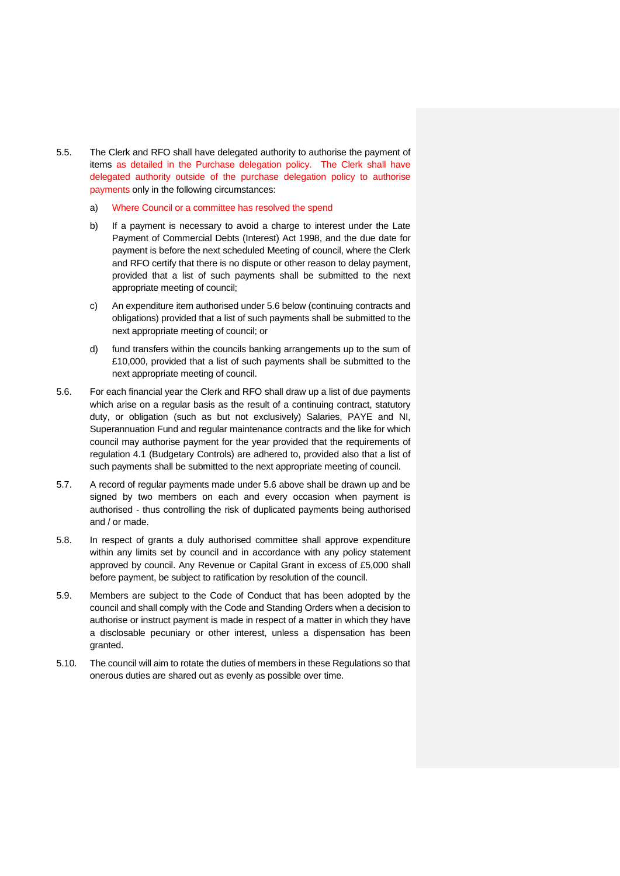- 5.5. The Clerk and RFO shall have delegated authority to authorise the payment of items as detailed in the Purchase delegation policy. The Clerk shall have delegated authority outside of the purchase delegation policy to authorise payments only in the following circumstances:
	- a) Where Council or a committee has resolved the spend
	- b) If a payment is necessary to avoid a charge to interest under the Late Payment of Commercial Debts (Interest) Act 1998, and the due date for payment is before the next scheduled Meeting of council, where the Clerk and RFO certify that there is no dispute or other reason to delay payment, provided that a list of such payments shall be submitted to the next appropriate meeting of council;
	- c) An expenditure item authorised under 5.6 below (continuing contracts and obligations) provided that a list of such payments shall be submitted to the next appropriate meeting of council; or
	- d) fund transfers within the councils banking arrangements up to the sum of £10,000, provided that a list of such payments shall be submitted to the next appropriate meeting of council.
- 5.6. For each financial year the Clerk and RFO shall draw up a list of due payments which arise on a regular basis as the result of a continuing contract, statutory duty, or obligation (such as but not exclusively) Salaries, PAYE and NI, Superannuation Fund and regular maintenance contracts and the like for which council may authorise payment for the year provided that the requirements of regulation 4.1 (Budgetary Controls) are adhered to, provided also that a list of such payments shall be submitted to the next appropriate meeting of council.
- 5.7. A record of regular payments made under 5.6 above shall be drawn up and be signed by two members on each and every occasion when payment is authorised - thus controlling the risk of duplicated payments being authorised and / or made.
- 5.8. In respect of grants a duly authorised committee shall approve expenditure within any limits set by council and in accordance with any policy statement approved by council. Any Revenue or Capital Grant in excess of £5,000 shall before payment, be subject to ratification by resolution of the council.
- 5.9. Members are subject to the Code of Conduct that has been adopted by the council and shall comply with the Code and Standing Orders when a decision to authorise or instruct payment is made in respect of a matter in which they have a disclosable pecuniary or other interest, unless a dispensation has been granted.
- 5.10. The council will aim to rotate the duties of members in these Regulations so that onerous duties are shared out as evenly as possible over time.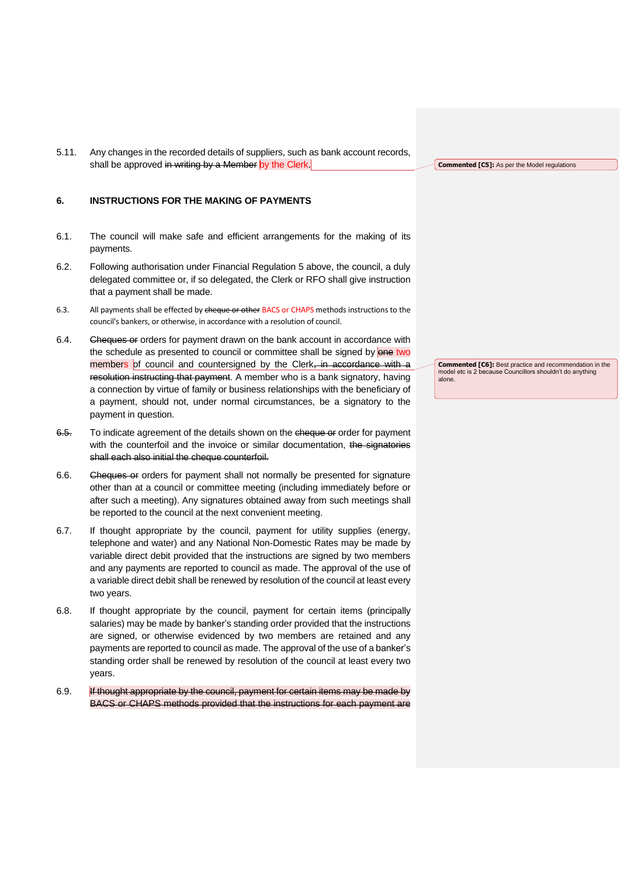5.11. Any changes in the recorded details of suppliers, such as bank account records, shall be approved in writing by a Member by the Clerk.

# <span id="page-22-0"></span>**6. INSTRUCTIONS FOR THE MAKING OF PAYMENTS**

- 6.1. The council will make safe and efficient arrangements for the making of its payments.
- 6.2. Following authorisation under Financial Regulation 5 above, the council, a duly delegated committee or, if so delegated, the Clerk or RFO shall give instruction that a payment shall be made.
- 6.3. All payments shall be effected by cheque or other BACS or CHAPS methods instructions to the council's bankers, or otherwise, in accordance with a resolution of council.
- 6.4. Cheques or orders for payment drawn on the bank account in accordance with the schedule as presented to council or committee shall be signed by one two members of council and countersigned by the Clerk, in accordance with a resolution instructing that payment. A member who is a bank signatory, having a connection by virtue of family or business relationships with the beneficiary of a payment, should not, under normal circumstances, be a signatory to the payment in question.
- 6.5. To indicate agreement of the details shown on the cheque of order for payment with the counterfoil and the invoice or similar documentation, the signatories shall each also initial the cheque counterfoil.
- 6.6. Cheques or orders for payment shall not normally be presented for signature other than at a council or committee meeting (including immediately before or after such a meeting). Any signatures obtained away from such meetings shall be reported to the council at the next convenient meeting.
- 6.7. If thought appropriate by the council, payment for utility supplies (energy, telephone and water) and any National Non-Domestic Rates may be made by variable direct debit provided that the instructions are signed by two members and any payments are reported to council as made. The approval of the use of a variable direct debit shall be renewed by resolution of the council at least every two years.
- 6.8. If thought appropriate by the council, payment for certain items (principally salaries) may be made by banker's standing order provided that the instructions are signed, or otherwise evidenced by two members are retained and any payments are reported to council as made. The approval of the use of a banker's standing order shall be renewed by resolution of the council at least every two years.
- 6.9. If thought appropriate by the council, payment for certain items may be made by BACS or CHAPS methods provided that the instructions for each payment are

**Commented [C5]:** As per the Model regulations

**Commented [C6]:** Best practice and recommendation in the model etc is 2 because Councillors shouldn't do anything alone.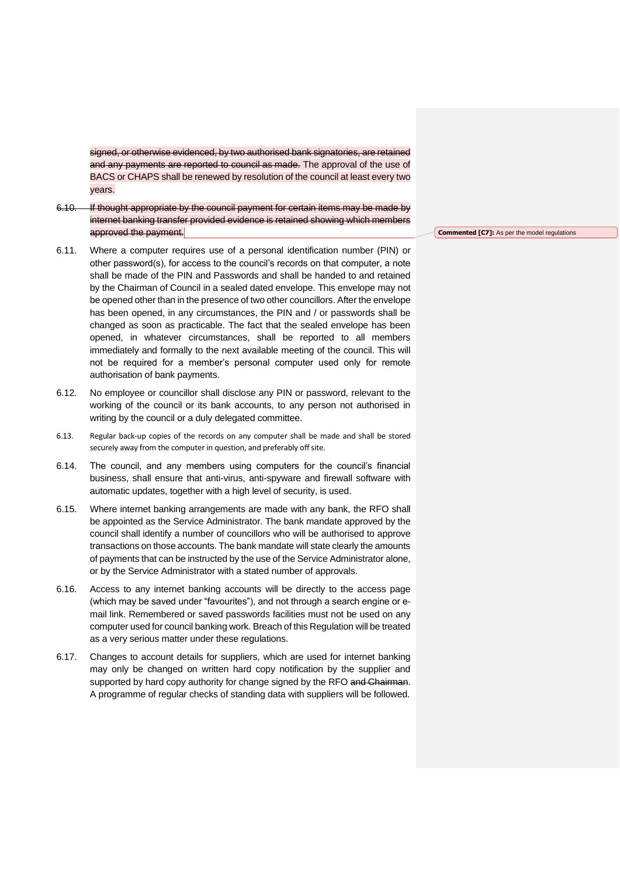signed, or otherwise evidenced, by two authorised bank signatories, are retained and any payments are reported to council as made. The approval of the use of BACS or CHAPS shall be renewed by resolution of the council at least every two years.

- 6.10. If thought appropriate by the council payment for certain items may be made by internet banking transfer provided evidence is retained showing which members approved the payment.
- 6.11. Where a computer requires use of a personal identification number (PIN) or other password(s), for access to the council's records on that computer, a note shall be made of the PIN and Passwords and shall be handed to and retained by the Chairman of Council in a sealed dated envelope. This envelope may not be opened other than in the presence of two other councillors. After the envelope has been opened, in any circumstances, the PIN and / or passwords shall be changed as soon as practicable. The fact that the sealed envelope has been opened, in whatever circumstances, shall be reported to all members immediately and formally to the next available meeting of the council. This will not be required for a member's personal computer used only for remote authorisation of bank payments.
- 6.12. No employee or councillor shall disclose any PIN or password, relevant to the working of the council or its bank accounts, to any person not authorised in writing by the council or a duly delegated committee.
- 6.13. Regular back-up copies of the records on any computer shall be made and shall be stored securely away from the computer in question, and preferably off site.
- 6.14. The council, and any members using computers for the council's financial business, shall ensure that anti-virus, anti-spyware and firewall software with automatic updates, together with a high level of security, is used.
- 6.15. Where internet banking arrangements are made with any bank, the RFO shall be appointed as the Service Administrator. The bank mandate approved by the council shall identify a number of councillors who will be authorised to approve transactions on those accounts. The bank mandate will state clearly the amounts of payments that can be instructed by the use of the Service Administrator alone, or by the Service Administrator with a stated number of approvals.
- 6.16. Access to any internet banking accounts will be directly to the access page (which may be saved under "favourites"), and not through a search engine or email link. Remembered or saved passwords facilities must not be used on any computer used for council banking work. Breach of this Regulation will be treated as a very serious matter under these regulations.
- 6.17. Changes to account details for suppliers, which are used for internet banking may only be changed on written hard copy notification by the supplier and supported by hard copy authority for change signed by the RFO and Chairman. A programme of regular checks of standing data with suppliers will be followed.

**Commented [C7]:** As per the model regulations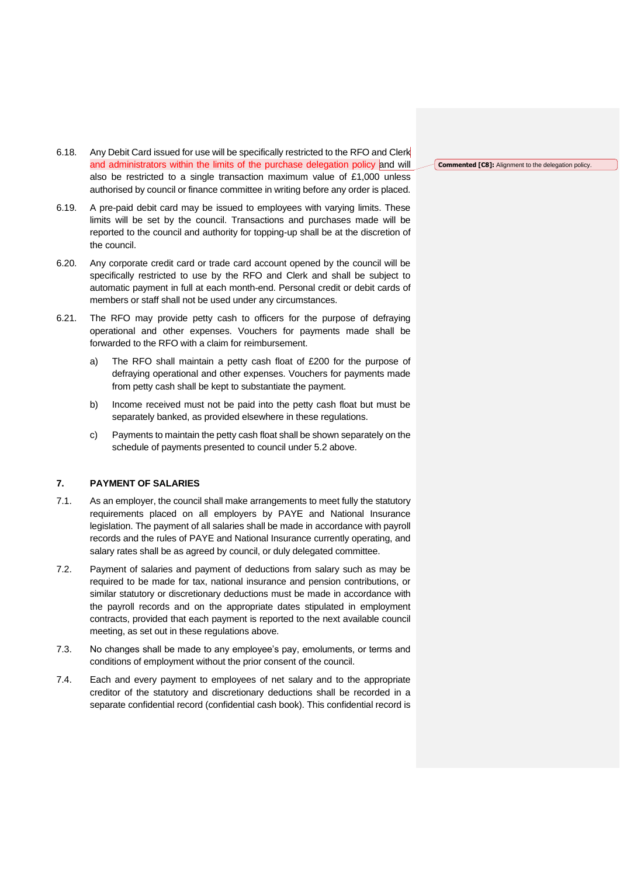- 6.18. Any Debit Card issued for use will be specifically restricted to the RFO and Clerk and administrators within the limits of the purchase delegation policy and will also be restricted to a single transaction maximum value of £1,000 unless authorised by council or finance committee in writing before any order is placed.
- 6.19. A pre-paid debit card may be issued to employees with varying limits. These limits will be set by the council. Transactions and purchases made will be reported to the council and authority for topping-up shall be at the discretion of the council.
- 6.20. Any corporate credit card or trade card account opened by the council will be specifically restricted to use by the RFO and Clerk and shall be subject to automatic payment in full at each month-end. Personal credit or debit cards of members or staff shall not be used under any circumstances.
- 6.21. The RFO may provide petty cash to officers for the purpose of defraying operational and other expenses. Vouchers for payments made shall be forwarded to the RFO with a claim for reimbursement.
	- a) The RFO shall maintain a petty cash float of £200 for the purpose of defraying operational and other expenses. Vouchers for payments made from petty cash shall be kept to substantiate the payment.
	- b) Income received must not be paid into the petty cash float but must be separately banked, as provided elsewhere in these regulations.
	- c) Payments to maintain the petty cash float shall be shown separately on the schedule of payments presented to council under 5.2 above.

## <span id="page-24-0"></span>**7. PAYMENT OF SALARIES**

- 7.1. As an employer, the council shall make arrangements to meet fully the statutory requirements placed on all employers by PAYE and National Insurance legislation. The payment of all salaries shall be made in accordance with payroll records and the rules of PAYE and National Insurance currently operating, and salary rates shall be as agreed by council, or duly delegated committee.
- 7.2. Payment of salaries and payment of deductions from salary such as may be required to be made for tax, national insurance and pension contributions, or similar statutory or discretionary deductions must be made in accordance with the payroll records and on the appropriate dates stipulated in employment contracts, provided that each payment is reported to the next available council meeting, as set out in these regulations above.
- 7.3. No changes shall be made to any employee's pay, emoluments, or terms and conditions of employment without the prior consent of the council.
- 7.4. Each and every payment to employees of net salary and to the appropriate creditor of the statutory and discretionary deductions shall be recorded in a separate confidential record (confidential cash book). This confidential record is

**Commented [C8]:** Alignment to the delegation policy.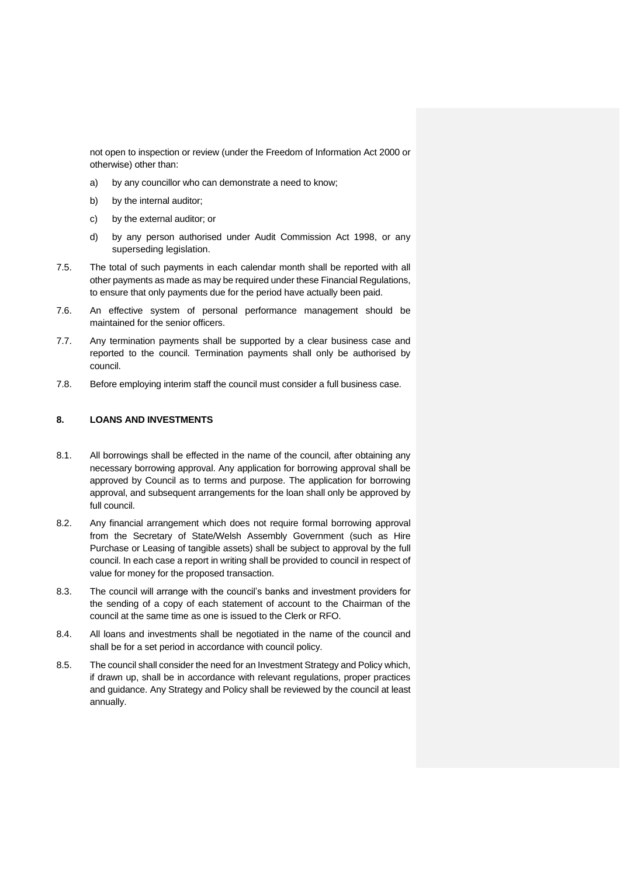not open to inspection or review (under the Freedom of Information Act 2000 or otherwise) other than:

- a) by any councillor who can demonstrate a need to know;
- b) by the internal auditor;
- c) by the external auditor; or
- d) by any person authorised under Audit Commission Act 1998, or any superseding legislation.
- 7.5. The total of such payments in each calendar month shall be reported with all other payments as made as may be required under these Financial Regulations, to ensure that only payments due for the period have actually been paid.
- 7.6. An effective system of personal performance management should be maintained for the senior officers.
- 7.7. Any termination payments shall be supported by a clear business case and reported to the council. Termination payments shall only be authorised by council.
- 7.8. Before employing interim staff the council must consider a full business case.

# <span id="page-25-0"></span>**8. LOANS AND INVESTMENTS**

- 8.1. All borrowings shall be effected in the name of the council, after obtaining any necessary borrowing approval. Any application for borrowing approval shall be approved by Council as to terms and purpose. The application for borrowing approval, and subsequent arrangements for the loan shall only be approved by full council.
- 8.2. Any financial arrangement which does not require formal borrowing approval from the Secretary of State/Welsh Assembly Government (such as Hire Purchase or Leasing of tangible assets) shall be subject to approval by the full council. In each case a report in writing shall be provided to council in respect of value for money for the proposed transaction.
- 8.3. The council will arrange with the council's banks and investment providers for the sending of a copy of each statement of account to the Chairman of the council at the same time as one is issued to the Clerk or RFO.
- 8.4. All loans and investments shall be negotiated in the name of the council and shall be for a set period in accordance with council policy.
- 8.5. The council shall consider the need for an Investment Strategy and Policy which, if drawn up, shall be in accordance with relevant regulations, proper practices and guidance. Any Strategy and Policy shall be reviewed by the council at least annually.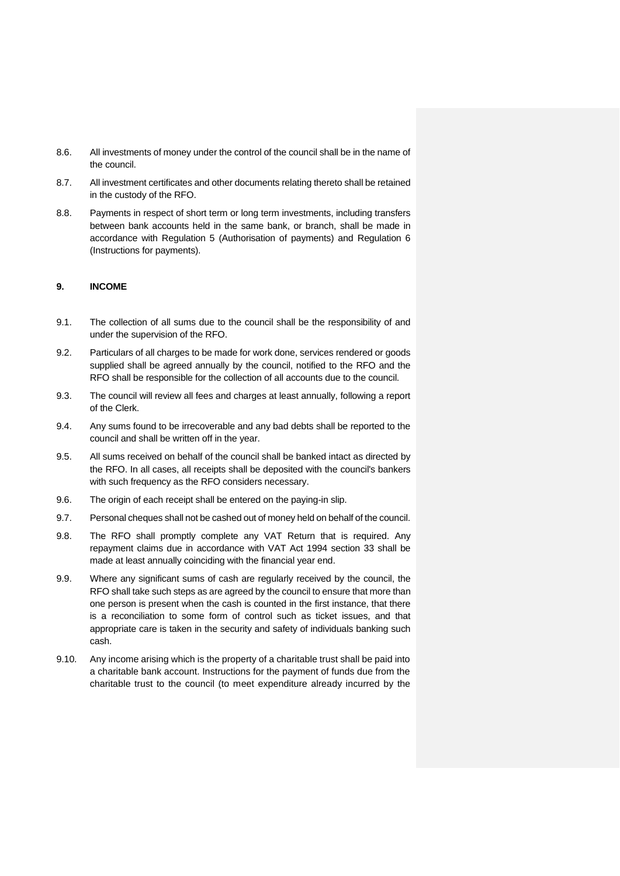- 8.6. All investments of money under the control of the council shall be in the name of the council.
- 8.7. All investment certificates and other documents relating thereto shall be retained in the custody of the RFO.
- 8.8. Payments in respect of short term or long term investments, including transfers between bank accounts held in the same bank, or branch, shall be made in accordance with Regulation 5 (Authorisation of payments) and Regulation 6 (Instructions for payments).

#### <span id="page-26-0"></span>**9. INCOME**

- 9.1. The collection of all sums due to the council shall be the responsibility of and under the supervision of the RFO.
- 9.2. Particulars of all charges to be made for work done, services rendered or goods supplied shall be agreed annually by the council, notified to the RFO and the RFO shall be responsible for the collection of all accounts due to the council.
- 9.3. The council will review all fees and charges at least annually, following a report of the Clerk.
- 9.4. Any sums found to be irrecoverable and any bad debts shall be reported to the council and shall be written off in the year.
- 9.5. All sums received on behalf of the council shall be banked intact as directed by the RFO. In all cases, all receipts shall be deposited with the council's bankers with such frequency as the RFO considers necessary.
- 9.6. The origin of each receipt shall be entered on the paying-in slip.
- 9.7. Personal cheques shall not be cashed out of money held on behalf of the council.
- 9.8. The RFO shall promptly complete any VAT Return that is required. Any repayment claims due in accordance with VAT Act 1994 section 33 shall be made at least annually coinciding with the financial year end.
- 9.9. Where any significant sums of cash are regularly received by the council, the RFO shall take such steps as are agreed by the council to ensure that more than one person is present when the cash is counted in the first instance, that there is a reconciliation to some form of control such as ticket issues, and that appropriate care is taken in the security and safety of individuals banking such cash.
- 9.10. Any income arising which is the property of a charitable trust shall be paid into a charitable bank account. Instructions for the payment of funds due from the charitable trust to the council (to meet expenditure already incurred by the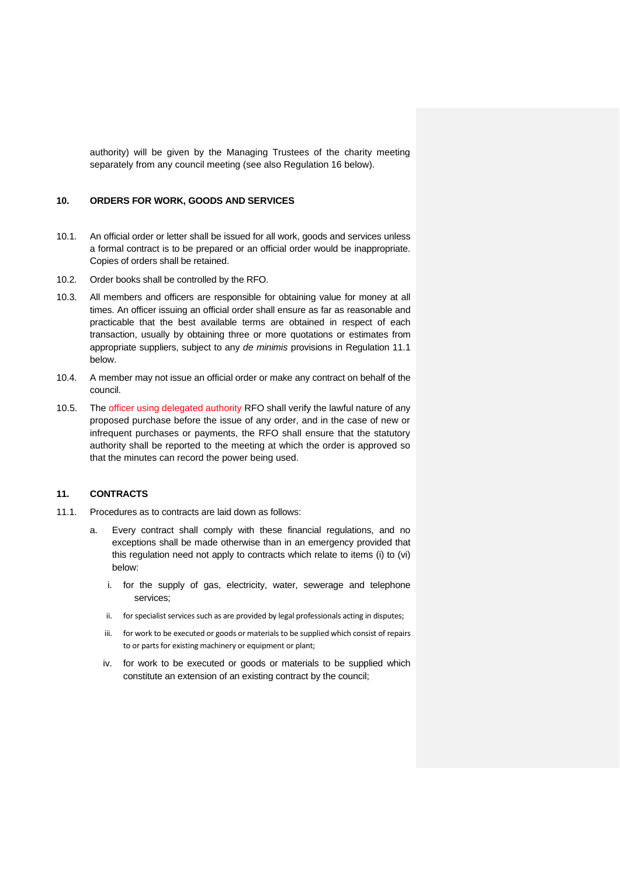authority) will be given by the Managing Trustees of the charity meeting separately from any council meeting (see also Regulation 16 below).

# <span id="page-27-0"></span>**10. ORDERS FOR WORK, GOODS AND SERVICES**

- 10.1. An official order or letter shall be issued for all work, goods and services unless a formal contract is to be prepared or an official order would be inappropriate. Copies of orders shall be retained.
- 10.2. Order books shall be controlled by the RFO.
- 10.3. All members and officers are responsible for obtaining value for money at all times. An officer issuing an official order shall ensure as far as reasonable and practicable that the best available terms are obtained in respect of each transaction, usually by obtaining three or more quotations or estimates from appropriate suppliers, subject to any *de minimis* provisions in Regulation 11.1 below.
- 10.4. A member may not issue an official order or make any contract on behalf of the council.
- 10.5. The officer using delegated authority RFO shall verify the lawful nature of any proposed purchase before the issue of any order, and in the case of new or infrequent purchases or payments, the RFO shall ensure that the statutory authority shall be reported to the meeting at which the order is approved so that the minutes can record the power being used.

#### <span id="page-27-1"></span>**11. CONTRACTS**

- 11.1. Procedures as to contracts are laid down as follows:
	- a. Every contract shall comply with these financial regulations, and no exceptions shall be made otherwise than in an emergency provided that this regulation need not apply to contracts which relate to items (i) to (vi) below:
		- i. for the supply of gas, electricity, water, sewerage and telephone services;
		- ii. for specialist services such as are provided by legal professionals acting in disputes;
		- iii. for work to be executed or goods or materials to be supplied which consist of repairs to or parts for existing machinery or equipment or plant;
		- iv. for work to be executed or goods or materials to be supplied which constitute an extension of an existing contract by the council;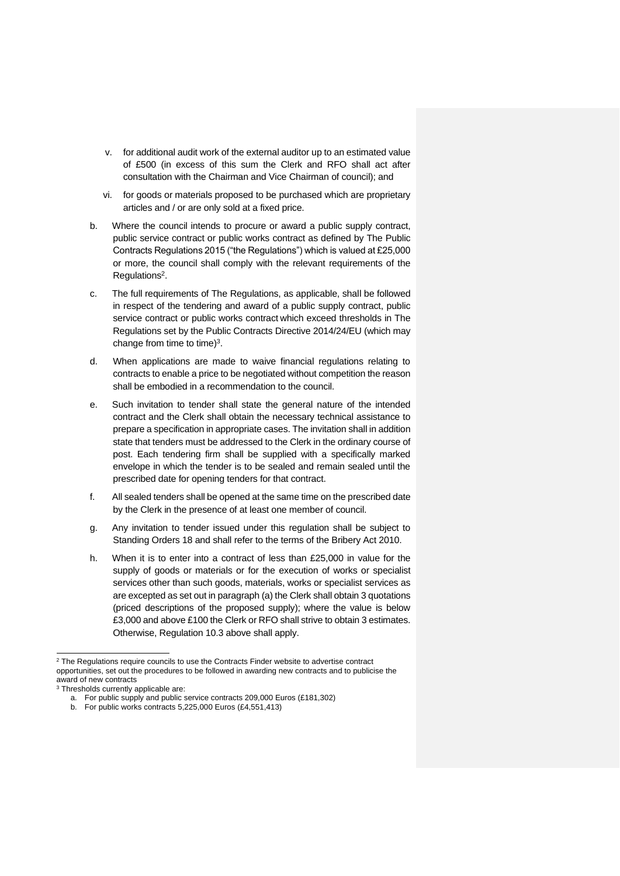- v. for additional audit work of the external auditor up to an estimated value of £500 (in excess of this sum the Clerk and RFO shall act after consultation with the Chairman and Vice Chairman of council); and
- vi. for goods or materials proposed to be purchased which are proprietary articles and / or are only sold at a fixed price.
- b. Where the council intends to procure or award a public supply contract, public service contract or public works contract as defined by The Public Contracts Regulations 2015 ("the Regulations") which is valued at £25,000 or more, the council shall comply with the relevant requirements of the Regulations<sup>2</sup>.
- c. The full requirements of The Regulations, as applicable, shall be followed in respect of the tendering and award of a public supply contract, public service contract or public works contract which exceed thresholds in The Regulations set by the Public Contracts Directive 2014/24/EU (which may change from time to time) $3$ .
- d. When applications are made to waive financial regulations relating to contracts to enable a price to be negotiated without competition the reason shall be embodied in a recommendation to the council.
- e. Such invitation to tender shall state the general nature of the intended contract and the Clerk shall obtain the necessary technical assistance to prepare a specification in appropriate cases. The invitation shall in addition state that tenders must be addressed to the Clerk in the ordinary course of post. Each tendering firm shall be supplied with a specifically marked envelope in which the tender is to be sealed and remain sealed until the prescribed date for opening tenders for that contract.
- f. All sealed tenders shall be opened at the same time on the prescribed date by the Clerk in the presence of at least one member of council.
- g. Any invitation to tender issued under this regulation shall be subject to Standing Orders 18 and shall refer to the terms of the Bribery Act 2010.
- h. When it is to enter into a contract of less than £25,000 in value for the supply of goods or materials or for the execution of works or specialist services other than such goods, materials, works or specialist services as are excepted as set out in paragraph (a) the Clerk shall obtain 3 quotations (priced descriptions of the proposed supply); where the value is below £3,000 and above £100 the Clerk or RFO shall strive to obtain 3 estimates. Otherwise, Regulation 10.3 above shall apply.

<sup>&</sup>lt;sup>2</sup> The Regulations require councils to use the Contracts Finder website to advertise contract opportunities, set out the procedures to be followed in awarding new contracts and to publicise the award of new contracts

<sup>3</sup> Thresholds currently applicable are:

a. For public supply and public service contracts 209,000 Euros (£181,302)

b. For public works contracts 5,225,000 Euros (£4,551,413)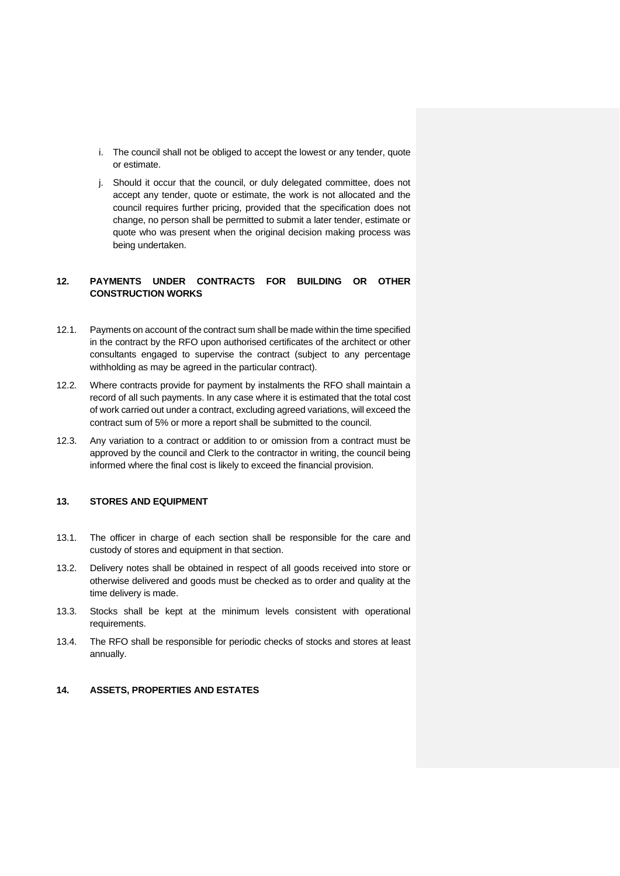- i. The council shall not be obliged to accept the lowest or any tender, quote or estimate.
- j. Should it occur that the council, or duly delegated committee, does not accept any tender, quote or estimate, the work is not allocated and the council requires further pricing, provided that the specification does not change, no person shall be permitted to submit a later tender, estimate or quote who was present when the original decision making process was being undertaken.

# <span id="page-29-0"></span>**12. PAYMENTS UNDER CONTRACTS FOR BUILDING OR OTHER CONSTRUCTION WORKS**

- 12.1. Payments on account of the contract sum shall be made within the time specified in the contract by the RFO upon authorised certificates of the architect or other consultants engaged to supervise the contract (subject to any percentage withholding as may be agreed in the particular contract).
- 12.2. Where contracts provide for payment by instalments the RFO shall maintain a record of all such payments. In any case where it is estimated that the total cost of work carried out under a contract, excluding agreed variations, will exceed the contract sum of 5% or more a report shall be submitted to the council.
- 12.3. Any variation to a contract or addition to or omission from a contract must be approved by the council and Clerk to the contractor in writing, the council being informed where the final cost is likely to exceed the financial provision.

#### <span id="page-29-1"></span>**13. STORES AND EQUIPMENT**

- 13.1. The officer in charge of each section shall be responsible for the care and custody of stores and equipment in that section.
- 13.2. Delivery notes shall be obtained in respect of all goods received into store or otherwise delivered and goods must be checked as to order and quality at the time delivery is made.
- 13.3. Stocks shall be kept at the minimum levels consistent with operational requirements.
- 13.4. The RFO shall be responsible for periodic checks of stocks and stores at least annually.

# <span id="page-29-2"></span>**14. ASSETS, PROPERTIES AND ESTATES**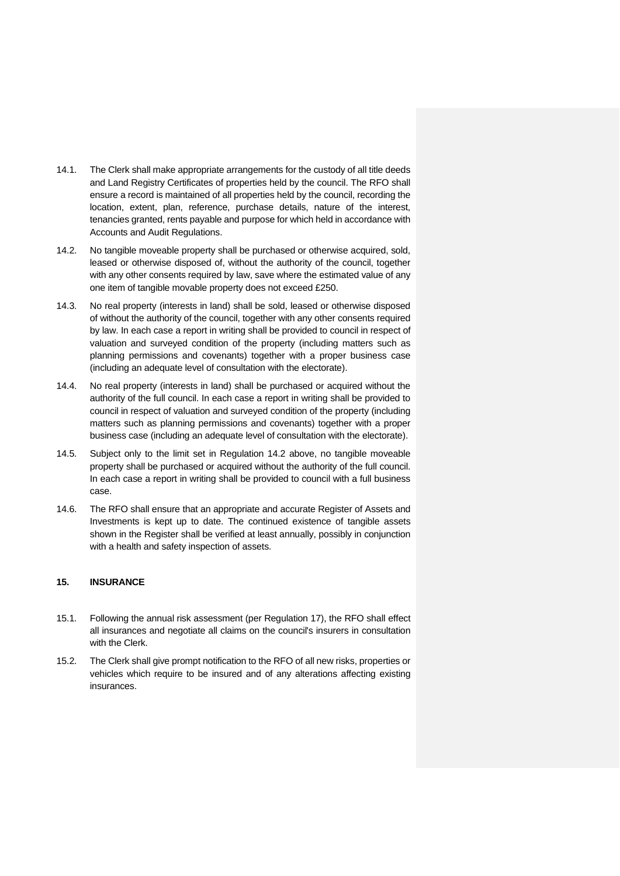- 14.1. The Clerk shall make appropriate arrangements for the custody of all title deeds and Land Registry Certificates of properties held by the council. The RFO shall ensure a record is maintained of all properties held by the council, recording the location, extent, plan, reference, purchase details, nature of the interest, tenancies granted, rents payable and purpose for which held in accordance with Accounts and Audit Regulations.
- 14.2. No tangible moveable property shall be purchased or otherwise acquired, sold, leased or otherwise disposed of, without the authority of the council, together with any other consents required by law, save where the estimated value of any one item of tangible movable property does not exceed £250.
- 14.3. No real property (interests in land) shall be sold, leased or otherwise disposed of without the authority of the council, together with any other consents required by law. In each case a report in writing shall be provided to council in respect of valuation and surveyed condition of the property (including matters such as planning permissions and covenants) together with a proper business case (including an adequate level of consultation with the electorate).
- 14.4. No real property (interests in land) shall be purchased or acquired without the authority of the full council. In each case a report in writing shall be provided to council in respect of valuation and surveyed condition of the property (including matters such as planning permissions and covenants) together with a proper business case (including an adequate level of consultation with the electorate).
- 14.5. Subject only to the limit set in Regulation 14.2 above, no tangible moveable property shall be purchased or acquired without the authority of the full council. In each case a report in writing shall be provided to council with a full business case.
- 14.6. The RFO shall ensure that an appropriate and accurate Register of Assets and Investments is kept up to date. The continued existence of tangible assets shown in the Register shall be verified at least annually, possibly in conjunction with a health and safety inspection of assets.

### <span id="page-30-0"></span>**15. INSURANCE**

- 15.1. Following the annual risk assessment (per Regulation 17), the RFO shall effect all insurances and negotiate all claims on the council's insurers in consultation with the Clerk.
- 15.2. The Clerk shall give prompt notification to the RFO of all new risks, properties or vehicles which require to be insured and of any alterations affecting existing insurances.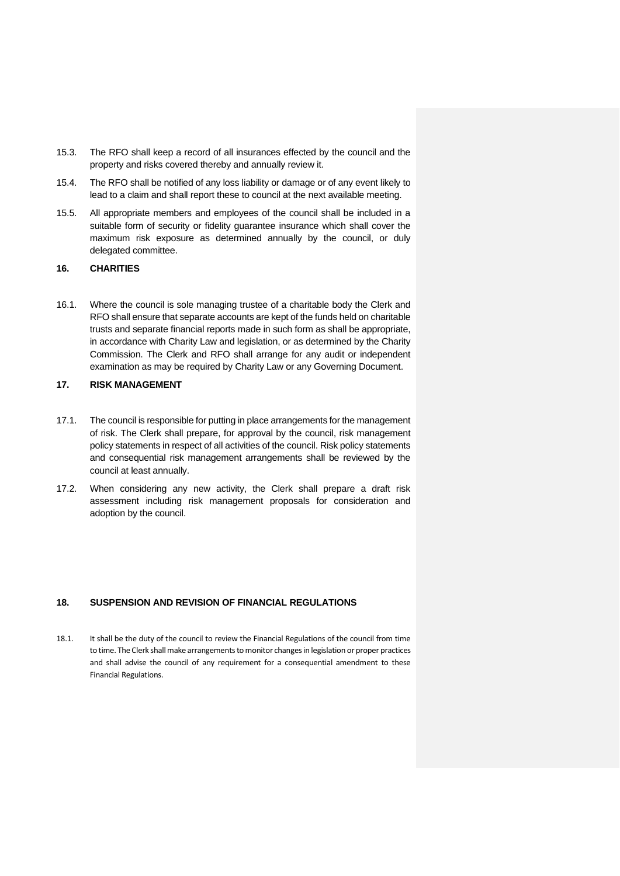- 15.3. The RFO shall keep a record of all insurances effected by the council and the property and risks covered thereby and annually review it.
- 15.4. The RFO shall be notified of any loss liability or damage or of any event likely to lead to a claim and shall report these to council at the next available meeting.
- 15.5. All appropriate members and employees of the council shall be included in a suitable form of security or fidelity guarantee insurance which shall cover the maximum risk exposure as determined annually by the council, or duly delegated committee.

#### <span id="page-31-0"></span>**16. CHARITIES**

16.1. Where the council is sole managing trustee of a charitable body the Clerk and RFO shall ensure that separate accounts are kept of the funds held on charitable trusts and separate financial reports made in such form as shall be appropriate, in accordance with Charity Law and legislation, or as determined by the Charity Commission. The Clerk and RFO shall arrange for any audit or independent examination as may be required by Charity Law or any Governing Document.

# <span id="page-31-1"></span>**17. RISK MANAGEMENT**

- 17.1. The council is responsible for putting in place arrangements for the management of risk. The Clerk shall prepare, for approval by the council, risk management policy statements in respect of all activities of the council. Risk policy statements and consequential risk management arrangements shall be reviewed by the council at least annually.
- 17.2. When considering any new activity, the Clerk shall prepare a draft risk assessment including risk management proposals for consideration and adoption by the council.

#### <span id="page-31-2"></span>**18. SUSPENSION AND REVISION OF FINANCIAL REGULATIONS**

18.1. It shall be the duty of the council to review the Financial Regulations of the council from time to time. The Clerk shall make arrangements to monitor changes in legislation or proper practices and shall advise the council of any requirement for a consequential amendment to these Financial Regulations.